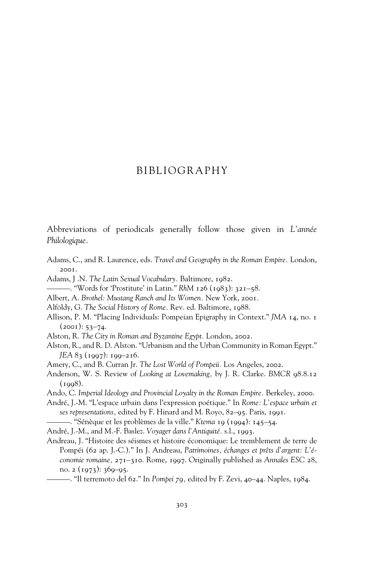## BIBLIOGRAPHY

Abbreviations of periodicals generally follow those given in *L'année Philologique.*

- Adams, C., and R. Laurence, eds. *Travel and Geography in the Roman Empire.* London, 2001.
- Adams, J .N. *The Latin Sexual Vocabulary.* Baltimore, 1982.
- ———. "Words for 'Prostitute' in Latin." *RhM* 126 (1983): 321–58.
- Albert, A. *Brothel: Mustang Ranch and Its Women.* New York, 2001.
- Alföldy, G. *The Social History of Rome.* Rev. ed. Baltimore, 1988.
- Allison, P. M. "Placing Individuals: Pompeian Epigraphy in Context." *JMA* 14, no. 1  $(2001): 53-74.$
- Alston, R. *The City in Roman and Byzantine Egypt.* London, 2002.
- Alston, R., and R. D. Alston. "Urbanism and the Urban Community in Roman Egypt." *JEA* 83 (1997): 199–216.
- Amery, C., and B. Curran Jr. *The Lost World of Pompeii.* Los Angeles, 2002.
- Anderson, W. S. Review of *Looking at Lovemaking,* by J. R. Clarke. *BMCR* 98.8.12  $(1998).$
- Ando, C. *Imperial Ideology and Provincial Loyalty in the Roman Empire.* Berkeley, 2000.
- André, J.-M. "L'espace urbain dans l'expression poétique." In *Rome: L'espace urbain et ses representations,* edited by F. Hinard and M. Royo, 82–95. Paris, 1991.
- ———. "Sénèque et les problèmes de la ville." *Ktema* 19 (1994): 145–54.
- André, J.-M., and M.-F. Baslez. *Voyager dans l'Antiquité.* s.l., 1993.
- Andreau, J. "Histoire des séismes et histoire économique: Le tremblement de terre de Pompéi (62 ap. J.-C.)." In J. Andreau, *Patrimoines, échanges et prêts d'argent: L'économie romaine,* 271–310. Rome, 1997. Originally published as *Annales ESC* 28, no.  $2(1973)$ :  $369-95$ .
	- ———. "Il terremoto del 62." In *Pompei 79,* edited by F. Zevi, 40–44. Naples, 1984.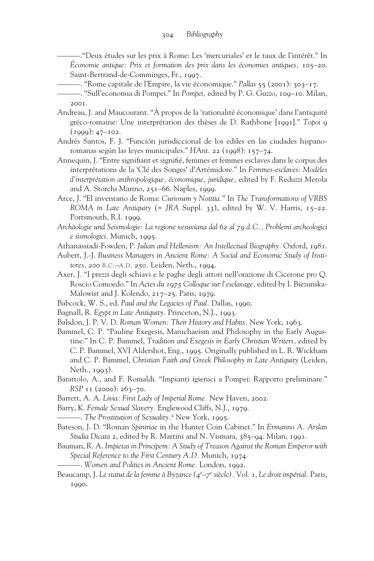———."Deux études sur les prix à Rome: Les 'mercuriales' et le taux de l'intérêt." In *Économie antique: Prix et formation des prix dans les économies antiques,* 105–20. Saint-Bertrand-de-Comminges, Fr., 1997.

———. "Rome capitale de l'Empire, la vie économique." *Pallas* 55 (2001): 303–17.

- Andreau, J. and Maucourant. "À propos de la 'rationalité économique' dans l'antiquité gréco-romaine: Une interprétation des thèses de D. Rathbone [1991]." *Topoi* 9  $(1999): 47-102.$
- Andrés Santos, F. J. "Función jurisdiccional de los ediles en las ciudades hispanoromanas según las leyes municipales." *HAnt.* 22 (1998): 157–74.
- Annequin, J. "Entre signifiant et signifié, femmes et femmes esclaves dans le corpus des interprétations de la 'Clé des Songes' d'Artémidore." In *Femmes-esclaves: Modèles d'interprétation anthropologique, économique, juridique,* edited by F. Reduzzi Merola and A. Storchi Marino, 251–66. Naples, 1999.
- Arce, J. "El inventario de Roma: *Curiosum y Notitia.*" In *The Transformations of VRBS ROMA in Late Antiquity* (= *JRA* Suppl. 33), edited by W. V. Harris, 15–22. Portsmouth, R.I. 1999.
- *Archäologie und Seismologie: La regione vesuviana dal 62 al 79 d.C., Problemi archeologici e sismologici.* Munich, 1995.

Athanassiadi-Fowden, P. *Julian and Hellenism: An Intellectual Biography.* Oxford, 1981.

- Aubert, J.-J. *Business Managers in Ancient Rome: A Social and Economic Study of Institores, 200 B.C.–A.D. 250.* Leiden, Neth., 1994.
- Axer, J. "I prezzi degli schiavi e le paghe degli attori nell'orazione di Cicerone pro Q. Roscio Comoedo." In *Actes du 1975 Colloque sur l'esclavage,* edited by I. Biezunska-Malowist and J. Kolendo, 217–25. Paris, 1979.
- Babcock, W. S., ed. *Paul and the Legacies of Paul.* Dallas, 1990.
- Bagnall, R. *Egypt in Late Antiquity.* Princeton, N.J., 1993.
- Balsdon, J. P. V. D. *Roman Women: Their History and Habits.* New York, 1963.
- Bammel, C. P. "Pauline Exegesis, Manichaeism and Philosophy in the Early Augustine." In C. P. Bammel, *Tradition and Exegesis in Early Christian Writers,* edited by C. P. Bammel, XVI Aldershot, Eng., 1995. Originally published in L. R. Wickham and C. P. Bammel, *Christian Faith and Greek Philosophy in Late Antiquity* (Leiden, Neth., 1993).
- Barattolo, A., and F. Romaldi. "Impianti igienici a Pompei: Rapporto preliminare." *RSP* 11 (2000): 263–70.
- Barrett, A. A. *Livia: First Lady of Imperial Rome.* New Haven, 2002.
- Barry, K. *Female Sexual Slavery.* Englewood Cliffs, N.J., 1979.
- ———. *The Prostitution of Sexuality.*<sup>2</sup> New York, 1995.
- Bateson, J. D. "Roman *Spintriae* in the Hunter Coin Cabinet." In *Ermanno A. Arslan Studia Dicata* 2, edited by R. Martini and N. Vismara, 385–94. Milan, 1991.
- Bauman, R. A. *Impietas in Principem: A Study of Treason Against the Roman Emperor with Special Reference to the First Century A.D.* Munich, 1974.
- ———. *Women and Politics in Ancient Rome.* London, 1992.
- Beaucamp, J. *Le statut de la femme à Byzance (4e –7e siècle).* Vol. 1, *Le droit impérial.* Paris, 1990.

<sup>———. &</sup>quot;Sull'economia di Pompei." In *Pompei,* edited by P. G. Guzzo, 109–10. Milan, 2001.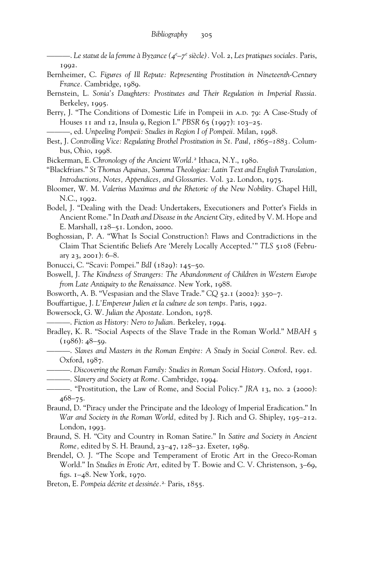———. *Le statut de la femme à Byzance (4e –7e siècle).* Vol. 2, *Les pratiques sociales.* Paris, 1992.

- Bernheimer, C. *Figures of Ill Repute: Representing Prostitution in Nineteenth-Century France.* Cambridge, 1989.
- Bernstein, L. *Sonia's Daughters: Prostitutes and Their Regulation in Imperial Russia.* Berkeley, 1995.
- Berry, J. "The Conditions of Domestic Life in Pompeii in A.D. 79: A Case-Study of Houses 11 and 12, Insula 9, Region I." *PBSR* 65 (1997): 103–25.

———, ed. *Unpeeling Pompeii: Studies in Region I of Pompeii.* Milan, 1998.

- Best, J. *Controlling Vice: Regulating Brothel Prostitution in St. Paul, 1865–1883.* Columbus, Ohio, 1998.
- Bickerman, E. *Chronology of the Ancient World.*<sup>2</sup> Ithaca, N.Y., 1980.
- "Blackfriars." *St Thomas Aquinas, Summa Theologiae: Latin Text and English Translation, Introductions, Notes, Appendices, and Glossaries.* Vol. 32. London, 1975.
- Bloomer, W. M. *Valerius Maximus and the Rhetoric of the New Nobility.* Chapel Hill, N.C., 1992.
- Bodel, J. "Dealing with the Dead: Undertakers, Executioners and Potter's Fields in Ancient Rome." In *Death and Disease in the Ancient City,* edited by V. M. Hope and E. Marshall, 128–51. London, 2000.
- Boghossian, P. A. "What Is Social Construction?: Flaws and Contradictions in the Claim That Scientific Beliefs Are 'Merely Locally Accepted.'" *TLS* 5108 (February 23, 2001): 6–8.
- Bonucci, C. "Scavi: Pompei." *BdI* (1829): 145–50.
- Boswell, J. *The Kindness of Strangers: The Abandonment of Children in Western Europe from Late Antiquity to the Renaissance.* New York, 1988.
- Bosworth, A. B. "Vespasian and the Slave Trade." *CQ* 52.1 (2002): 350–7.
- Bouffartigue, J. *L'Empereur Julien et la culture de son temps.* Paris, 1992.

Bowersock, G. W. *Julian the Apostate.* London, 1978.

- ———. *Fiction as History: Nero to Julian.* Berkeley, 1994.
- Bradley, K. R. "Social Aspects of the Slave Trade in the Roman World." *MBAH* 5  $(1986): 48 - 59.$
- ———. *Slaves and Masters in the Roman Empire: A Study in Social Control.* Rev. ed. Oxford, 1987.
- ———. *Discovering the Roman Family: Studies in Roman Social History.* Oxford, 1991.
- ———. *Slavery and Society at Rome.* Cambridge, 1994.
- ———. "Prostitution, the Law of Rome, and Social Policy." *JRA* 13, no. 2 (2000): 468–75.
- Braund, D. "Piracy under the Principate and the Ideology of Imperial Eradication." In *War and Society in the Roman World,* edited by J. Rich and G. Shipley, 195–212. London, 1993.
- Braund, S. H. "City and Country in Roman Satire." In *Satire and Society in Ancient Rome,* edited by S. H. Braund, 23–47, 128–32. Exeter, 1989.
- Brendel, O. J. "The Scope and Temperament of Erotic Art in the Greco-Roman World." In *Studies in Erotic Art,* edited by T. Bowie and C. V. Christenson, 3–69, figs.  $1-48$ . New York, 1970.
- Breton, E. *Pompeia décrite et dessinée.*2. Paris, 1855.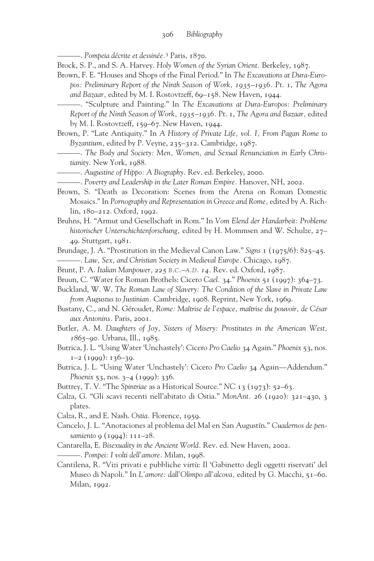———. *Pompeia décrite et dessinée.*<sup>3</sup> Paris, 1870.

- Brock, S. P., and S. A. Harvey. *Holy Women of the Syrian Orient.* Berkeley, 1987.
- Brown, F. E. "Houses and Shops of the Final Period." In *The Excavations at Dura-Europos: Preliminary Report of the Ninth Season of Work, 1935–1936.* Pt. 1, *The Agora* and Bazaar, edited by M. I. Rostovtzeff, 69-158. New Haven, 1944.
	- ———. "Sculpture and Painting." In *The Excavations at Dura-Europos: Preliminary Report of the Ninth Season of Work, 1935–1936.* Pt. 1, *The Agora and Bazaar,* edited by M. I. Rostovtzeff, 159–67. New Haven, 1944.
- Brown, P. "Late Antiquity." In *A History of Private Life, vol. I, From Pagan Rome to Byzantium,* edited by P. Veyne, 235–312. Cambridge, 1987.
- ———. *The Body and Society: Men, Women, and Sexual Renunciation in Early Christianity.* New York, 1988.
- ———. *Augustine of Hippo: A Biography.* Rev. ed. Berkeley, 2000.
- ———. *Poverty and Leadership in the Later Roman Empire.* Hanover, NH, 2002.
- Brown, S. "Death as Decoration: Scenes from the Arena on Roman Domestic Mosaics." In *Pornography and Representation in Greece and Rome,* edited by A. Richlin, 180–212. Oxford, 1992.
- Bruhns, H. "Armut und Gesellschaft in Rom." In *Vom Elend der Handarbeit: Probleme historischer Unterschichtenforschung,* edited by H. Mommsen and W. Schulze, 27– 49. Stuttgart, 1981.
- Brundage, J. A. "Prostitution in the Medieval Canon Law." *Signs* 1 (1975/6): 825–45. ———. *Law, Sex, and Christian Society in Medieval Europe.* Chicago, 1987.
- Brunt, P. A. *Italian Manpower, 225 B.C.–A.D. 14.* Rev. ed. Oxford, 1987.
- Bruun, C. "Water for Roman Brothels: Cicero *Cael.* 34." *Phoenix* 51 (1997): 364–73.
- Buckland, W. W. *The Roman Law of Slavery: The Condition of the Slave in Private Law from Augustus to Justinian.* Cambridge, 1908. Reprint, New York, 1969.
- Bustany, C., and N. Géroudet, *Rome: Maîtrise de l'espace, maîtrise du pouvoir, de César aux Antonins.* Paris, 2001.
- Butler, A. M. *Daughters of Joy, Sisters of Misery: Prostitutes in the American West, 1865–90.* Urbana, Ill., 1985.
- Butrica, J. L. "Using Water 'Unchastely': Cicero *Pro Caelio* 34 Again." *Phoenix* 53, nos.  $1-2$  (1999): 136-39.
- Butrica, J. L. "Using Water 'Unchastely': Cicero *Pro Caelio* 34 Again—Addendum." *Phoenix* 53, nos. 3–4 (1999): 336.
- Buttrey, T. V. "The *Spintriae* as a Historical Source." *NC* 13 (1973): 52–63.
- Calza, G. "Gli scavi recenti nell'abitato di Ostia." *MonAnt.* 26 (1920): 321–430, 3 plates.
- Calza, R., and E. Nash. *Ostia.* Florence, 1959.
- Cancelo, J. L. "Anotaciones al problema del Mal en San Augustín." *Cuadernos de pensamiento* 9 (1994): 111–28.
- Cantarella, E. *Bisexuality in the Ancient World.* Rev. ed. New Haven, 2002. ———. *Pompei: I volti dell'amore.* Milan, 1998.
- Cantilena, R. "Vizi privati e pubbliche virtù: Il 'Gabinetto degli oggetti riservati' del Museo di Napoli." In *L'amore: dall'Olimpo all'alcova,* edited by G. Macchi, 51–60. Milan, 1992.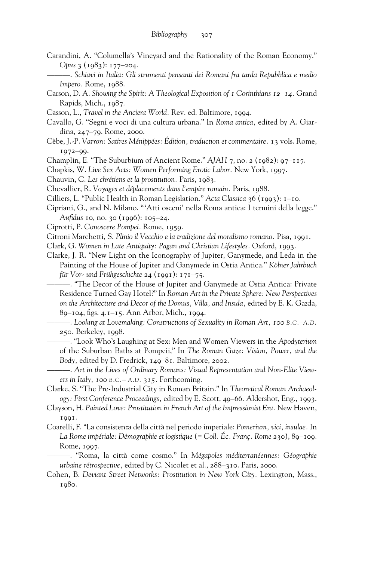- Carandini, A. "Columella's Vineyard and the Rationality of the Roman Economy." *Opus* 3 (1983): 177–204.
	- ———. *Schiavi in Italia: Gli strumenti pensanti dei Romani fra tarda Repubblica e medio Impero.* Rome, 1988.
- Carson, D. A. *Showing the Spirit: A Theological Exposition of 1 Corinthians 12–14.* Grand Rapids, Mich., 1987.
- Casson, L., *Travel in the Ancient World.* Rev. ed. Baltimore, 1994.
- Cavallo, G. "Segni e voci di una cultura urbana." In *Roma antica,* edited by A. Giardina, 247–79. Rome, 2000.
- Cèbe, J.-P. *Varron: Satires Ménippées: Édition, traduction et commentaire.* 13 vols. Rome, 1972–99.
- Champlin, E. "The Suburbium of Ancient Rome." *AJAH* 7, no. 2 (1982): 97–117.
- Chapkis, W. *Live Sex Acts: Women Performing Erotic Labor.* New York, 1997.
- Chauvin, C. *Les chrétiens et la prostitution.* Paris, 1983.
- Chevallier, R. *Voyages et déplacements dans l'empire romain.* Paris, 1988.
- Cilliers, L. "Public Health in Roman Legislation." *Acta Classica* 36 (1993): 1–10.
- Cipriani, G., and N. Milano. "'Atti osceni' nella Roma antica: I termini della legge." *Aufidus* 10, no. 30 (1996): 105–24.
- Ciprotti, P. *Conoscere Pompei.* Rome, 1959.
- Citroni Marchetti, S. *Plinio il Vecchio e la tradizione del moralismo romano.* Pisa, 1991.
- Clark, G. *Women in Late Antiquity: Pagan and Christian Lifestyles.* Oxford, 1993.
- Clarke, J. R. "New Light on the Iconography of Jupiter, Ganymede, and Leda in the Painting of the House of Jupiter and Ganymede in Ostia Antica." *Kölner Jahrbuch für Vor- und Frühgeschichte* 24 (1991): 171–75.

———. "The Decor of the House of Jupiter and Ganymede at Ostia Antica: Private Residence Turned Gay Hotel?" In *Roman Art in the Private Sphere: New Perspectives on the Architecture and Decor of the Domus, Villa, and Insula,* edited by E. K. Gazda, 89–104, figs. 4.1–15. Ann Arbor, Mich., 1994.

———. *Looking at Lovemaking: Constructions of Sexuality in Roman Art, 100 B.C.–A.D. 250.* Berkeley, 1998.

- ———. "Look Who's Laughing at Sex: Men and Women Viewers in the *Apodyterium* of the Suburban Baths at Pompeii," In *The Roman Gaze: Vision, Power, and the Body,* edited by D. Fredrick, 149–81. Baltimore, 2002.
- ———. *Art in the Lives of Ordinary Romans: Visual Representation and Non-Elite Viewers in Italy, 100 B.C.– A.D. 315.* Forthcoming.
- Clarke, S. "The Pre-Industrial City in Roman Britain." In *Theoretical Roman Archaeology: First Conference Proceedings,* edited by E. Scott, 49–66. Aldershot, Eng., 1993.
- Clayson, H. *Painted Love: Prostitution in French Art of the Impressionist Era.* New Haven, 1991.
- Coarelli, F. "La consistenza della città nel periodo imperiale: *Pomerium, vici, insulae.* In *La Rome impériale: Démographie et logistique* (= *Coll. Éc. Franç. Rome* 230), 89–109. Rome, 1997.
- ———. "Roma, la città come cosmo." In *Mégapoles méditerranéennes: Géographie urbaine rétrospective,* edited by C. Nicolet et al., 288–310. Paris, 2000.
- Cohen, B. *Deviant Street Networks: Prostitution in New York City.* Lexington, Mass., 1980.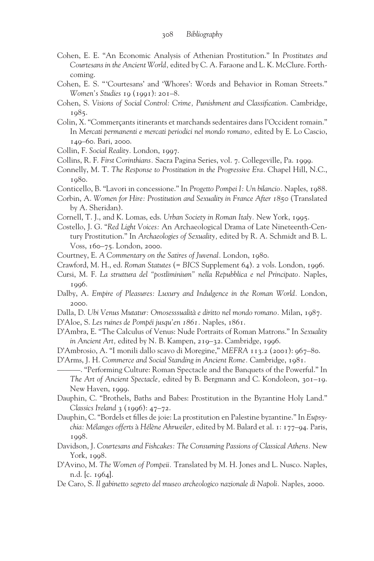- Cohen, E. E. "An Economic Analysis of Athenian Prostitution." In *Prostitutes and Courtesans in the Ancient World,* edited by C. A. Faraone and L. K. McClure. Forthcoming.
- Cohen, E. S. "'Courtesans' and 'Whores': Words and Behavior in Roman Streets." *Women's Studies* 19 (1991): 201–8.
- Cohen, S. *Visions of Social Control: Crime, Punishment and Classification*. Cambridge, 1985.
- Colin, X. "Commerçants itinerants et marchands sedentaires dans l'Occident romain." In *Mercati permanenti e mercati periodici nel mondo romano,* edited by E. Lo Cascio, 149–60. Bari, 2000.
- Collin, F. *Social Reality.* London, 1997.
- Collins, R. F. *First Corinthians.* Sacra Pagina Series, vol. 7. Collegeville, Pa. 1999.
- Connelly, M. T. *The Response to Prostitution in the Progressive Era.* Chapel Hill, N.C., 1980.
- Conticello, B. "Lavori in concessione." In *Progetto Pompei I: Un bilancio.* Naples, 1988.
- Corbin, A. *Women for Hire: Prostitution and Sexuality in France After 1850* (Translated by A. Sheridan).
- Cornell, T. J., and K. Lomas, eds. *Urban Society in Roman Italy.* New York, 1995.
- Costello, J. G. "*Red Light Voices:* An Archaeological Drama of Late Nineteenth-Century Prostitution." In *Archaeologies of Sexuality,* edited by R. A. Schmidt and B. L. Voss, 160–75. London, 2000.
- Courtney, E. *A Commentary on the Satires of Juvenal.* London, 1980.
- Crawford, M. H., ed. *Roman Statutes* (= *BICS* Supplement 64). 2 vols. London, 1996.
- Cursi, M. F. *La struttura del "postliminium" nella Repubblica e nel Principato.* Naples, 1996.
- Dalby, A. *Empire of Pleasures: Luxury and Indulgence in the Roman World.* London, 2000.
- Dalla, D. *Ubi Venus Mutatur: Omosesssualità e diritto nel mondo romano.* Milan, 1987.
- D'Aloe, S. *Les ruines de Pompéi jusqu'en 1861.* Naples, 1861.
- D'Ambra, E. "The Calculus of Venus: Nude Portraits of Roman Matrons." In *Sexuality in Ancient Art,* edited by N. B. Kampen, 219–32. Cambridge, 1996.
- D'Ambrosio, A. "I monili dallo scavo di Moregine," *MEFRA* 113.2 (2001): 967–80.
- D'Arms, J. H. *Commerce and Social Standing in Ancient Rome.* Cambridge, 1981.

———. "Performing Culture: Roman Spectacle and the Banquets of the Powerful." In *The Art of Ancient Spectacle,* edited by B. Bergmann and C. Kondoleon, 301–19. New Haven, 1999.

- Dauphin, C. "Brothels, Baths and Babes: Prostitution in the Byzantine Holy Land." *Classics Ireland* 3 (1996): 47–72.
- Dauphin, C. "Bordels et filles de joie: La prostitution en Palestine byzantine." In *Eupsychia: Mélanges offerts* à *Hélène Ahrweiler,* edited by M. Balard et al. 1: 177–94. Paris, 1998.
- Davidson, J. *Courtesans and Fishcakes: The Consuming Passions of Classical Athens.* New York, 1998.
- D'Avino, M. *The Women of Pompeii.* Translated by M. H. Jones and L. Nusco. Naples, n.d. [c. 1964].
- De Caro, S. *Il gabinetto segreto del museo archeologico nazionale di Napoli.* Naples, 2000.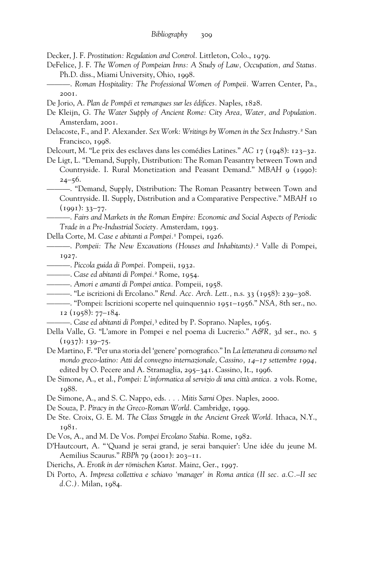Decker, J. F. *Prostitution: Regulation and Control.* Littleton, Colo., 1979.

- DeFelice, J. F. *The Women of Pompeian Inns: A Study of Law, Occupation, and Status.* Ph.D. diss., Miami University, Ohio, 1998.
- ———. *Roman Hospitality: The Professional Women of Pompeii.* Warren Center, Pa., 2001.

De Jorio, A. *Plan de Pompéi et remarques sur les édifices*. Naples, 1828.

- De Kleijn, G. *The Water Supply of Ancient Rome: City Area, Water, and Population.* Amsterdam, 2001.
- Delacoste, F., and P. Alexander. *Sex Work: Writings by Women in the Sex Industry.*<sup>2</sup> San Francisco, 1998.

Delcourt, M. "Le prix des esclaves dans les comédies Latines." *AC* 17 (1948): 123–32.

De Ligt, L. "Demand, Supply, Distribution: The Roman Peasantry between Town and Countryside. I. Rural Monetization and Peasant Demand." *MBAH* 9 (1990):  $24 - 56.$ 

———. "Demand, Supply, Distribution: The Roman Peasantry between Town and Countryside. II. Supply, Distribution and a Comparative Perspective." *MBAH* 10  $(1991): 33-77.$ 

———. *Fairs and Markets in the Roman Empire: Economic and Social Aspects of Periodic Trade in a Pre-Industrial Society.* Amsterdam, 1993.

Della Corte, M. *Case e abitanti a Pompei.*<sup>1</sup> Pompei, 1926.

———. *Pompeii: The New Excavations (Houses and Inhabitants).*<sup>2</sup> Valle di Pompei, 1927.

- ———. *Piccola guida di Pompei.* Pompeii, 1932.
- ———. *Case ed abitanti di Pompei.*<sup>2</sup> Rome, 1954.
- ———. *Amori e amanti di Pompei antica.* Pompeii, 1958.
- ———. "Le iscrizioni di Ercolano." *Rend. Acc. Arch. Lett.,* n.s. 33 (1958): 239–308.
- ———. "Pompei: Iscrizioni scoperte nel quinquennio 1951–1956." *NSA,* 8th ser., no. 12 (1958): 77–184.
	- ———. *Case ed abitanti di Pompei,*<sup>3</sup> edited by P. Soprano. Naples, 1965.
- Della Valle, G. "L'amore in Pompei e nel poema di Lucrezio." *A&R,* 3d ser., no. 5  $(1937): 139 - 75.$
- De Martino, F. "Per una storia del 'genere' pornografico." In *La letteratura di consumo nel mondo greco-latino: Atti del convegno internazionale, Cassino, 14–17 settembre 1994,* edited by O. Pecere and A. Stramaglia, 295–341. Cassino, It., 1996.
- De Simone, A., et al., *Pompei: L'informatica al servizio di una città antica.* 2 vols. Rome, 1988.
- De Simone, A., and S. C. Nappo, eds. *. . . Mitis Sarni Opes.* Naples, 2000.
- De Souza, P. *Piracy in the Greco-Roman World.* Cambridge, 1999.
- De Ste. Croix, G. E. M. *The Class Struggle in the Ancient Greek World.* Ithaca, N.Y., 1981.
- De Vos, A., and M. De Vos. *Pompei Ercolano Stabia.* Rome, 1982.

D'Hautcourt, A. "'Quand je serai grand, je serai banquier': Une idée du jeune M. Aemilius Scaurus." *RBPh* 79 (2001): 203–11.

- Dierichs, A. *Erotik in der römischen Kunst.* Mainz, Ger., 1997.
- Di Porto, A. *Impresa collettiva e schiavo 'manager' in Roma antica (II sec. a.C.–II sec d.C.).* Milan, 1984.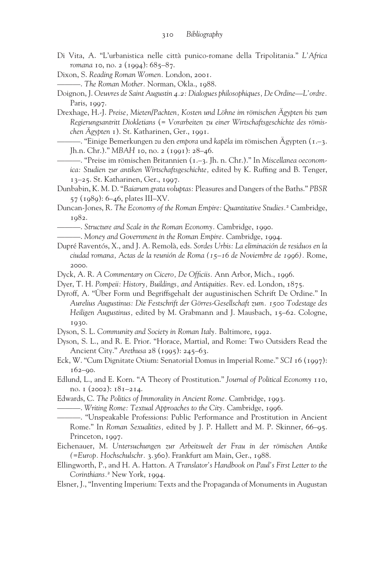- Di Vita, A. "L'urbanistica nelle città punico-romane della Tripolitania." *L'Africa romana* 10, no. 2 (1994): 685-87.
- Dixon, S. *Reading Roman Women.* London, 2001.
- ———. *The Roman Mother.* Norman, Okla., 1988.
- Doignon, J. *Oeuvres de Saint Augustin 4.2: Dialogues philosophiques, De Ordine—L'ordre.* Paris, 1997.
- Drexhage, H.-J. *Preise, Mieten/Pachten, Kosten und Löhne im römischen Ägypten bis zum Regierungsantritt Diokletians* (= *Vorarbeiten zu einer Wirtschaftsgeschichte des römischen Ägypten* 1). St. Katharinen, Ger., 1991.
	- —. "Einige Bemerkungen zu den *empora* und *kapēla* im römischen Ägypten (1.–3. Jh.n. Chr.)." *MBAH* 10, no. 2 (1991): 28–46.
	- ———. "Preise im römischen Britannien (1.–3. Jh. n. Chr.)." In *Miscellanea oeconomica: Studien zur antiken Wirtschaftsgeschichte,* edited by K. Ruffing and B. Tenger, 13–25. St. Katharinen, Ger., 1997.
- Dunbabin, K. M. D. "*Baiarum grata voluptas:* Pleasures and Dangers of the Baths." *PBSR* 57 (1989): 6–46, plates III–XV.
- Duncan-Jones, R. *The Economy of the Roman Empire: Quantitative Studies.*<sup>2</sup> Cambridge, 1982.
	- ———. *Structure and Scale in the Roman Economy.* Cambridge, 1990.
- ———. *Money and Government in the Roman Empire.* Cambridge, 1994.
- Dupré Raventós, X., and J. A. Remolà, eds. *Sordes Urbis: La eliminación de residuos en la ciudad romana, Actas de la reunión de Roma (15–16 de Noviembre de 1996).* Rome, 2000.
- Dyck, A. R. *A Commentary on Cicero, De Officiis. Ann Arbor, Mich., 1996.*
- Dyer, T. H. *Pompeii: History, Buildings, and Antiquities.* Rev. ed. London, 1875.
- Dyroff, A. "Über Form und Begriffsgehalt der augustinischen Schrift De Ordine." In *Aurelius Augustinus: Die Festschrift der Görres-Gesellschaft zum. 1500 Todestage des Heiligen Augustinus,* edited by M. Grabmann and J. Mausbach, 15–62. Cologne, 1930.
- Dyson, S. L. *Community and Society in Roman Italy.* Baltimore, 1992.
- Dyson, S. L., and R. E. Prior. "Horace, Martial, and Rome: Two Outsiders Read the Ancient City." *Arethusa* 28 (1995): 245–63.
- Eck, W. "Cum Dignitate Otium: Senatorial Domus in Imperial Rome." *SCI* 16 (1997): 162–90.
- Edlund, L., and E. Korn. "A Theory of Prostitution." *Journal of Political Economy* 110, no. 1 (2002): 181–214.
- Edwards, C. *The Politics of Immorality in Ancient Rome.* Cambridge, 1993.
	- ———. *Writing Rome: Textual Approaches to the City.* Cambridge, 1996.
- ———. "Unspeakable Professions: Public Performance and Prostitution in Ancient Rome." In *Roman Sexualities,* edited by J. P. Hallett and M. P. Skinner, 66–95. Princeton, 1997.
- Eichenauer, M. *Untersuchungen zur Arbeitswelt der Frau in der römischen Antike (*=*Europ. Hochschulschr.* 3.360). Frankfurt am Main, Ger., 1988.
- Ellingworth, P., and H. A. Hatton. *A Translator's Handbook on Paul's First Letter to the Corinthians.*<sup>2</sup> New York, 1994.
- Elsner, J., "Inventing Imperium: Texts and the Propaganda of Monuments in Augustan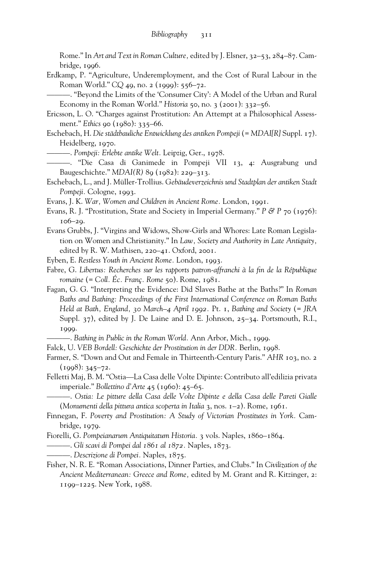Rome." In *Art and Text in Roman Culture,* edited by J. Elsner, 32–53, 284–87. Cambridge, 1996.

- Erdkamp, P. "Agriculture, Underemployment, and the Cost of Rural Labour in the Roman World." *CQ* 49, no. 2 (1999): 556–72.
- ———. "Beyond the Limits of the 'Consumer City': A Model of the Urban and Rural Economy in the Roman World." *Historia* 50, no. 3 (2001): 332–56.
- Ericsson, L. O. "Charges against Prostitution: An Attempt at a Philosophical Assessment." *Ethics* 90 (1980): 335–66.
- Eschebach, H. *Die städtbauliche Entwicklung des antiken Pompeji* (= *MDAI[R]* Suppl. 17). Heidelberg, 1970.
	- ———. *Pompeji: Erlebte antike Welt.* Leipzig, Ger., 1978.
- ———. "Die Casa di Ganimede in Pompeji VII 13, 4: Ausgrabung und Baugeschichte." *MDAI(R)* 89 (1982): 229–313.
- Eschebach, L., and J. Müller-Trollius. *Gebäudeverzeichnis und Stadtplan der antiken Stadt* Pompeji. Cologne, 1993.
- Evans, J. K. *War, Women and Children in Ancient Rome.* London, 1991.
- Evans, R. J. "Prostitution, State and Society in Imperial Germany." *P & P* 70 (1976): 106–29.
- Evans Grubbs, J. "Virgins and Widows, Show-Girls and Whores: Late Roman Legislation on Women and Christianity." In *Law, Society and Authority in Late Antiquity,* edited by R. W. Mathisen, 220–41. Oxford, 2001.
- Eyben, E. *Restless Youth in Ancient Rome.* London, 1993.
- Fabre, G. Libertus: Recherches sur les rapports patron-affranchi à la fin de la République *romaine* (= *Coll. Éc. Franç. Rome* 50). Rome, 1981.
- Fagan, G. G. "Interpreting the Evidence: Did Slaves Bathe at the Baths?" In *Roman Baths and Bathing: Proceedings of the First International Conference on Roman Baths Held at Bath, England, 30 March–4 April 1992.* Pt. 1, *Bathing and Society* (= *JRA* Suppl. 37), edited by J. De Laine and D. E. Johnson, 25–34. Portsmouth, R.I., 1999.
	- ———. *Bathing in Public in the Roman World.* Ann Arbor, Mich., 1999.
- Falck, U. *VEB Bordell: Geschichte der Prostitution in der DDR.* Berlin, 1998.

Farmer, S. "Down and Out and Female in Thirteenth-Century Paris." *AHR* 103, no. 2  $(1998): 345 - 72.$ 

Felletti Maj, B. M. "Ostia—La Casa delle Volte Dipinte: Contributo all'edilizia privata imperiale." *Bollettino d'Arte* 45 (1960): 45–65.

———. *Ostia: Le pitture della Casa delle Volte Dipinte e della Casa delle Pareti Gialle* (*Monumenti della pittura antica scoperta in Italia* 3, nos. 1–2). Rome, 1961.

- Finnegan, F. *Poverty and Prostitution: A Study of Victorian Prostitutes in York.* Cambridge, 1979.
- Fiorelli, G. *Pompeianarum Antiquitatum Historia.* 3 vols. Naples, 1860–1864.
- ———. *Gli scavi di Pompei dal 1861 al 1872.* Naples, 1873.
- ———. *Descrizione di Pompei.* Naples, 1875.
- Fisher, N. R. E. "Roman Associations, Dinner Parties, and Clubs." In *Civilization of the Ancient Mediterranean: Greece and Rome,* edited by M. Grant and R. Kitzinger, 2: 1199–1225. New York, 1988.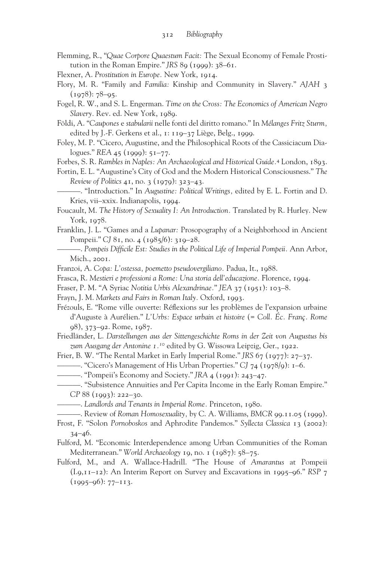- Flemming, R., "*Quae Corpore Quaestum Facit:* The Sexual Economy of Female Prostitution in the Roman Empire." *JRS* 89  $(1999)$ :  $38-61$ .
- Flexner, A. *Prostitution in Europe.* New York, 1914.
- Flory, M. R. "Family and *Familia:* Kinship and Community in Slavery." *AJAH* 3  $(1978): 78-95.$
- Fogel, R. W., and S. L. Engerman. *Time on the Cross: The Economics of American Negro Slavery.* Rev. ed. New York, 1989.
- Földi, A. "*Caupones* e *stabularii* nelle fonti del diritto romano." In *Mélanges Fritz Sturm,* edited by J.-F. Gerkens et al., 1: 119–37 Liège, Belg., 1999.
- Foley, M. P. "Cicero, Augustine, and the Philosophical Roots of the Cassiciacum Dialogues." *REA* 45 (1999): 51–77.

Forbes, S. R. *Rambles in Naples: An Archaeological and Historical Guide.*<sup>4</sup> London, 1893.

- Fortin, E. L. "Augustine's City of God and the Modern Historical Consciousness." *The Review of Politics* 41, no. 3 (1979): 323–43.
	- ———. "Introduction." In *Augustine: Political Writings,* edited by E. L. Fortin and D. Kries, vii–xxix. Indianapolis, 1994.
- Foucault, M. *The History of Sexuality I: An Introduction.* Translated by R. Hurley. New York, 1978.
- Franklin, J. L. "Games and a *Lupanar:* Prosopography of a Neighborhood in Ancient Pompeii." *CJ* 81, no. 4 (1985/6): 319–28.
- ———. *Pompeis Dif‹cile Est: Studies in the Political Life of Imperial Pompeii.* Ann Arbor, Mich., 2001.
- Franzoi, A. *Copa: L'ostessa, poemetto pseudovergiliano.* Padua, It., 1988.
- Frasca, R. *Mestieri e professioni a Rome: Una storia dell'educazione.* Florence, 1994.
- Fraser, P. M. "A Syriac *Notitia Urbis Alexandrinae.*" *JEA* 37 (1951): 103–8.
- Frayn, J. M. *Markets and Fairs in Roman Italy.* Oxford, 1993.
- Frézouls, E. "Rome ville ouverte: Réflexions sur les problèmes de l'expansion urbaine d'Auguste à Aurélien." *L'Urbs: Espace urbain et histoire* (= *Coll. Éc. Franç. Rome* 98), 373–92. Rome, 1987.
- Friedländer, L. *Darstellungen aus der Sittengeschichte Roms in der Zeit von Augustus bis zum Ausgang der Antonine 1.10* edited by G. Wissowa Leipzig, Ger., 1922.
- Frier, B. W. "The Rental Market in Early Imperial Rome." *JRS* 67 (1977): 27–37.
- ———. "Cicero's Management of His Urban Properties." *CJ* 74 (1978/9): 1–6.
- ———. "Pompeii's Economy and Society." *JRA* 4 (1991): 243–47.
	- ———. "Subsistence Annuities and Per Capita Income in the Early Roman Empire." *CP* 88 (1993): 222–30.
	- ———. *Landlords and Tenants in Imperial Rome.* Princeton, 1980.
	- ———. Review of *Roman Homosexuality,* by C. A. Williams, *BMCR* 99.11.05 (1999).
- Frost, F. "Solon *Pornoboskos* and Aphrodite Pandemos." *Syllecta Classica* 13 (2002): 34–46.
- Fulford, M. "Economic Interdependence among Urban Communities of the Roman Mediterranean." *World Archaeology* 19, no. 1 (1987): 58–75.
- Fulford, M., and A. Wallace-Hadrill. "The House of *Amarantus* at Pompeii (I.9,11–12): An Interim Report on Survey and Excavations in 1995–96." *RSP* 7 (1995–96): 77–113.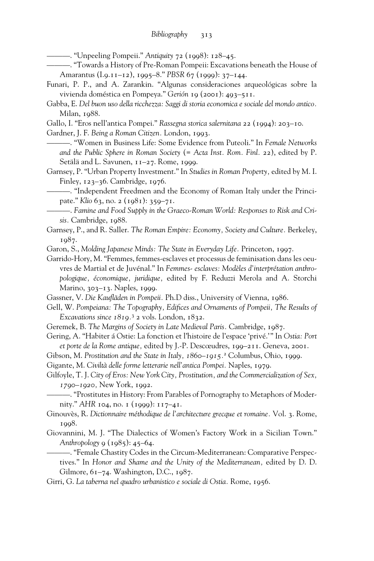———. "Unpeeling Pompeii." *Antiquity* 72 (1998): 128–45.

———. "Towards a History of Pre-Roman Pompeii: Excavations beneath the House of Amarantus (I.9.11–12), 1995–8." *PBSR* 67 (1999): 37–144.

- Funari, P. P., and A. Zarankin. "Algunas consideraciones arqueológicas sobre la vivienda doméstica en Pompeya." *Gerión* 19 (2001): 493–511.
- Gabba, E. *Del buon uso della ricchezza: Saggi di storia economica e sociale del mondo antico.* Milan, 1988.
- Gallo, I. "Eros nell'antica Pompei." *Rassegna storica salernitana* 22 (1994): 203–10.

Gardner, J. F. *Being a Roman Citizen.* London, 1993.

———. "Women in Business Life: Some Evidence from Puteoli." In *Female Networks and the Public Sphere in Roman Society* (= *Acta Inst. Rom. Finl.* 22), edited by P. Setälä and L. Savunen, 11–27. Rome, 1999.

Garnsey, P. "Urban Property Investment." In *Studies in Roman Property,* edited by M. I. Finley, 123–36. Cambridge, 1976.

-. "Independent Freedmen and the Economy of Roman Italy under the Principate." *Klio* 63, no. 2 (1981): 359–71.

- ———. *Famine and Food Supply in the Graeco-Roman World: Responses to Risk and Crisis.* Cambridge, 1988.
- Garnsey, P., and R. Saller. *The Roman Empire: Economy, Society and Culture.* Berkeley, 1987.

Garon, S., *Molding Japanese Minds: The State in Everyday Life.* Princeton, 1997.

- Garrido-Hory, M. "Femmes, femmes-esclaves et processus de feminisation dans les oeuvres de Martial et de Juvénal." In *Femmes*- *esclaves: Modèles d'interprétation anthropologique, économique, juridique,* edited by F. Reduzzi Merola and A. Storchi Marino, 303–13. Naples, 1999.
- Gassner, V. Die Kaufläden in Pompeii. Ph.D diss., University of Vienna, 1986.
- Gell, W. Pompeiana: The Topography, Edifices and Ornaments of Pompeii, The Results of *Excavations since 1819.*<sup>3</sup> 2 vols. London, 1832.
- Geremek, B. *The Margins of Society in Late Medieval Paris.* Cambridge, 1987.

Gering, A. "Habiter á Ostie: La fonction et l'histoire de l'espace 'privé.'" In *Ostia: Port et porte de la Rome antique,* edited by J.-P. Descœudres, 199–211. Geneva, 2001.

Gibson, M. *Prostitution and the State in Italy, 1860–1915.*<sup>2</sup> Columbus, Ohio, 1999.

Gigante, M. *Civiltà delle forme letterarie nell'antica Pompei.* Naples, 1979.

Gilfoyle, T. J. *City of Eros: New York City, Prostitution, and the Commercialization of Sex, 1790–1920,* New York, 1992.

———. "Prostitutes in History: From Parables of Pornography to Metaphors of Modernity." *AHR* 104, no. 1 (1999): 117–41.

- Ginouvès, R. *Dictionnaire méthodique de l'architecture grecque et romaine.* Vol. 3. Rome, 1998.
- Giovannini, M. J. "The Dialectics of Women's Factory Work in a Sicilian Town." *Anthropology* 9 (1985): 45–64.

———. "Female Chastity Codes in the Circum-Mediterranean: Comparative Perspectives." In *Honor and Shame and the Unity of the Mediterranean,* edited by D. D. Gilmore, 61–74. Washington, D.C., 1987.

Girri, G. *La taberna nel quadro urbanistico e sociale di Ostia.* Rome, 1956.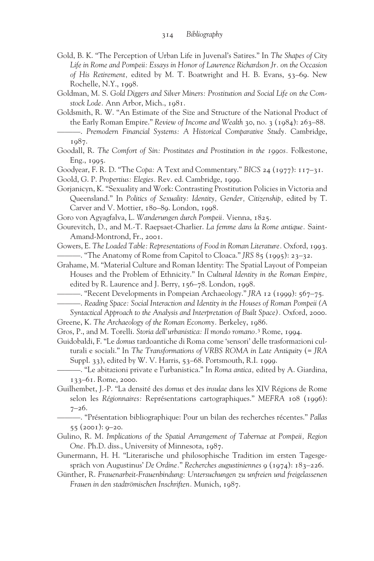- Gold, B. K. "The Perception of Urban Life in Juvenal's Satires." In *The Shapes of City Life in Rome and Pompeii: Essays in Honor of Lawrence Richardson Jr. on the Occasion of His Retirement,* edited by M. T. Boatwright and H. B. Evans, 53–69. New Rochelle, N.Y., 1998.
- Goldman, M. S. *Gold Diggers and Silver Miners: Prostitution and Social Life on the Comstock Lode.* Ann Arbor, Mich., 1981.
- Goldsmith, R. W. "An Estimate of the Size and Structure of the National Product of the Early Roman Empire." *Review of Income and Wealth* 30, no. 3 (1984): 263–88.
- ———. *Premodern Financial Systems: A Historical Comparative Study.* Cambridge, 1987.
- Goodall, R. *The Comfort of Sin: Prostitutes and Prostitution in the 1990s.* Folkestone, Eng., 1995.
- Goodyear, F. R. D. "The *Copa:* A Text and Commentary." *BICS* 24 (1977): 117–31.
- Goold, G. P. *Propertius: Elegies.* Rev. ed. Cambridge, 1999.
- Gorjanicyn, K. "Sexuality and Work: Contrasting Prostitution Policies in Victoria and Queensland." In *Politics of Sexuality: Identity, Gender, Citizenship,* edited by T. Carver and V. Mottier, 180–89. London, 1998.
- Goro von Agyagfalva, L. *Wanderungen durch Pompeii.* Vienna, 1825.
- Gourevitch, D., and M.-T. Raepsaet-Charlier. *La femme dans la Rome antique.* Saint-Amand-Montrond, Fr., 2001.
- Gowers, E. *The Loaded Table: Representations of Food in Roman Literature.* Oxford, 1993. ———. "The Anatomy of Rome from Capitol to Cloaca." *JRS* 85 (1995): 23–32.
- Grahame, M. "Material Culture and Roman Identity: The Spatial Layout of Pompeian Houses and the Problem of Ethnicity." In *Cultural Identity in the Roman Empire,* edited by R. Laurence and J. Berry, 156–78. London, 1998.
	- ———. "Recent Developments in Pompeian Archaeology." *JRA* 12 (1999): 567–75.
- ———. *Reading Space: Social Interaction and Identity in the Houses of Roman Pompeii (A Syntactical Approach to the Analysis and Interpretation of Built Space).* Oxford, 2000.
- Greene, K. *The Archaeology of the Roman Economy.* Berkeley, 1986.
- Gros, P., and M. Torelli. *Storia dell'urbanistica: Il mondo romano.*<sup>3</sup> Rome, 1994.
- Guidobaldi, F. "Le *domus* tardoantiche di Roma come 'sensori' delle trasformazioni culturali e sociali." In *The Transformations of VRBS ROMA in Late Antiquity* (= *JRA* Suppl. 33), edited by W. V. Harris, 53–68. Portsmouth, R.I. 1999.
	- ———. "Le abitazioni private e l'urbanistica." In *Roma antica,* edited by A. Giardina, 133–61. Rome, 2000.
- Guilhembet, J.-P. "La densité des *domus* et des *insulae* dans les XIV Régions de Rome selon les *Régionnaires:* Représentations cartographiques." *MEFRA* 108 (1996): 7–26.
	- ———. "Présentation bibliographique: Pour un bilan des recherches récentes." *Pallas* 55 (2001): 9–20.
- Gulino, R. M. *Implications of the Spatial Arrangement of Tabernae at Pompeii, Region One.* Ph.D. diss., University of Minnesota, 1987.
- Gunermann, H. H. "Literarische und philosophische Tradition im ersten Tagesgespräch von Augustinus' *De Ordine.*" *Recherches augustiniennes* 9 (1974): 183–226.
- Günther, R. *Frauenarbeit-Frauenbindung: Untersuchungen zu unfreien und freigelassenen Frauen in den stadtrömischen Inschriften.* Munich, 1987.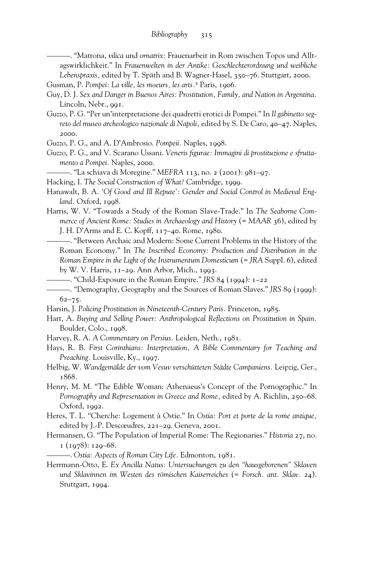———. "Matrona, *vilica* und *ornatrix:* Frauenarbeit in Rom zwischen Topos und Alltagswirklichkeit." In *Frauenwelten in der Antike: Geschlechterordnung und weibliche Lebenspraxis,* edited by T. Späth and B. Wagner-Hasel, 350–76. Stuttgart, 2000.

Gusman, P. *Pompei: La ville, les moeurs, les arts.*<sup>2</sup> Paris, 1906.

- Guy, D. J. *Sex and Danger in Buenos Aires: Prostitution, Family, and Nation in Argentina.* Lincoln, Nebr., 991.
- Guzzo, P. G. "Per un'interpretazione dei quadretti erotici di Pompei." In *Il gabinetto segreto del museo archeologico nazionale di Napoli,* edited by S. De Caro, 40–47. Naples, 2000.
- Guzzo, P. G., and A. D'Ambrosio. *Pompeii.* Naples, 1998.
- Guzzo, P. G., and V. Scarano Ussani. *Veneris figurae: Immagini di prostituzione e sfruttamento a Pompei.* Naples, 2000.

———. "La schiava di Moregine." *MEFRA* 113, no. 2 (2001): 981–97.

- Hacking, I. *The Social Construction of What?* Cambridge, 1999.
- Hanawalt, B. A. *'Of Good and Ill Repute': Gender and Social Control in Medieval England.* Oxford, 1998.
- Harris, W. V. "Towards a Study of the Roman Slave-Trade." In *The Seaborne Commerce of Ancient Rome: Studies in Archaeology and History (= MAAR* 36), edited by J. H. D'Arms and E. C. Kopff, 117–40. Rome, 1980.
	- ———. "Between Archaic and Modern: Some Current Problems in the History of the Roman Economy." In *The Inscribed Economy: Production and Distribution in the Roman Empire in the Light of the Instrumentum Domesticum (= JRA Suppl. 6), edited* by W. V. Harris, 11–29. Ann Arbor, Mich., 1993.
	- ———. "Child-Exposure in the Roman Empire." *JRS* 84 (1994): 1–22

- Harsin, J. *Policing Prostitution in Nineteenth-Century Paris.* Princeton, 1985.
- Hart, A. Buying and Selling Power: Anthropological Reflections on Prostitution in Spain. Boulder, Colo., 1998.
- Harvey, R. A. *A Commentary on Persius.* Leiden, Neth., 1981.
- Hays, R. B. *First Corinthians: Interpretation, A Bible Commentary for Teaching and Preaching.* Louisville, Ky., 1997.
- Helbig, W. *Wandgemälde der vom Vesuv verschütteten Städte Campaniens.* Leipzig, Ger., 1868.
- Henry, M. M. "The Edible Woman: Athenaeus's Concept of the Pornographic." In *Pornography and Representation in Greece and Rome,* edited by A. Richlin, 250–68. Oxford, 1992.
- Heres, T. L. "Cherche: Logement à Ostie." In *Ostia: Port et porte de la rome antique,* edited by J.-P. Descœudres, 221–29. Geneva, 2001.
- Hermansen, G. "The Population of Imperial Rome: The Regionaries." *Historia* 27, no.  $1 (1978): 129-68.$

———. *Ostia: Aspects of Roman City Life.* Edmonton, 1981.

Herrmann-Otto, E. *Ex Ancilla Natus: Untersuchungen zu den "hausgeborenen" Sklaven und Sklavinnen im Westen des römischen Kaiserreiches* (= *Forsch. ant. Sklav.* 24). Stuttgart, 1994.

<sup>———. &</sup>quot;Demography, Geography and the Sources of Roman Slaves." *JRS* 89 (1999):  $62 - 75.$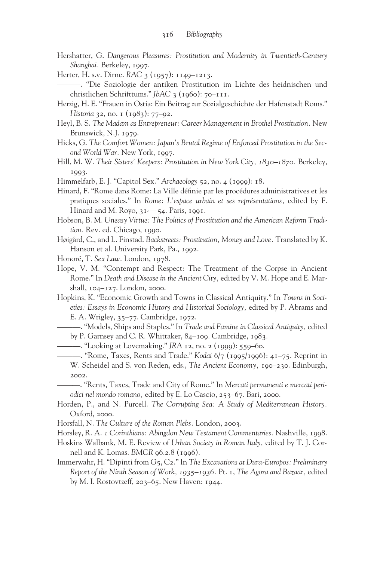- Hershatter, G. *Dangerous Pleasures: Prostitution and Modernity in Twentieth-Century Shanghai.* Berkeley, 1997.
- Herter, H. s.v. Dirne. *RAC* 3 (1957): 1149–1213.
- ———. "Die Soziologie der antiken Prostitution im Lichte des heidnischen und christlichen Schrifttums." *JbAC* 3 (1960): 70–111.
- Herzig, H. E. "Frauen in Ostia: Ein Beitrag zur Sozialgeschichte der Hafenstadt Roms." *Historia* 32, no. 1 (1983): 77–92.
- Heyl, B. S. *The Madam as Entrepreneur: Career Management in Brothel Prostitution.* New Brunswick, N.J. 1979.
- Hicks, G. *The Comfort Women: Japan's Brutal Regime of Enforced Prostitution in the Second World War.* New York, 1997.
- Hill, M. W. *Their Sisters' Keepers: Prostitution in New York City, 1830–1870.* Berkeley, 1993.
- Himmelfarb, E. J. "Capitol Sex." *Archaeology* 52, no. 4 (1999): 18.
- Hinard, F. "Rome dans Rome: La Ville définie par les procédures administratives et les pratiques sociales." In *Rome: L'espace urbain et ses représentations,* edited by F. Hinard and M. Royo, 31-—54. Paris, 1991.
- Hobson, B. M. *Uneasy Virtue: The Politics of Prostitution and the American Reform Tradition.* Rev. ed. Chicago, 1990.
- Høigård, C., and L. Finstad. *Backstreets: Prostitution, Money and Love.* Translated by K. Hanson et al. University Park, Pa., 1992.
- Honoré, T. *Sex Law.* London, 1978.
- Hope, V. M. "Contempt and Respect: The Treatment of the Corpse in Ancient Rome." In *Death and Disease in the Ancient City,* edited by V. M. Hope and E. Marshall, 104–127. London, 2000.
- Hopkins, K. "Economic Growth and Towns in Classical Antiquity." In *Towns in Societies: Essays in Economic History and Historical Sociology,* edited by P. Abrams and E. A. Wrigley, 35–77. Cambridge, 1972.
	- ———. "Models, Ships and Staples." In *Trade and Famine in Classical Antiquity,* edited by P. Garnsey and C. R. Whittaker, 84–109. Cambridge, 1983.
		- ———. "Looking at Lovemaking." *JRA* 12, no. 2 (1999): 559–60.
	- ———. "Rome, Taxes, Rents and Trade." *Kodai* 6/7 (1995/1996): 41–75. Reprint in W. Scheidel and S. von Reden, eds., *The Ancient Economy,* 190–230. Edinburgh, 2002.

———. "Rents, Taxes, Trade and City of Rome." In *Mercati permanenti e mercati periodici nel mondo romano,* edited by E. Lo Cascio, 253–67. Bari, 2000.

- Horden, P., and N. Purcell. *The Corrupting Sea: A Study of Mediterranean History.* Oxford, 2000.
- Horsfall, N. *The Culture of the Roman Plebs.* London, 2003.
- Horsley, R. A. *1 Corinthians: Abingdon New Testament Commentaries.* Nashville, 1998.
- Hoskins Walbank, M. E. Review of *Urban Society in Roman Italy,* edited by T. J. Cornell and K. Lomas. *BMCR* 96.2.8 (1996).
- Immerwahr, H. "Dipinti from G5, C2." In *The Excavations at Dura-Europos: Preliminary Report of the Ninth Season of Work, 1935–1936.* Pt. 1, *The Agora and Bazaar,* edited by M. I. Rostovtzeff, 203–65. New Haven: 1944.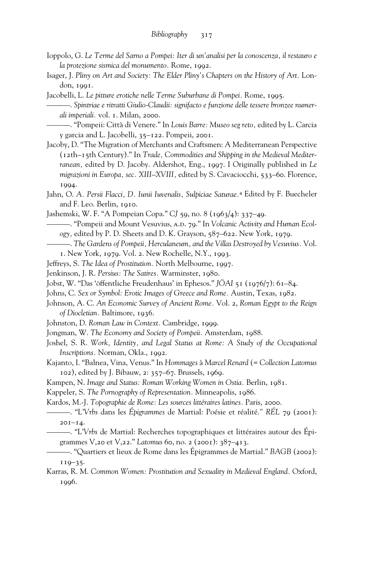- Ioppolo, G. *Le Terme del Sarno a Pompei: Iter di un'analisi per la conoscenza, il restauro e la protezione sismica del monumento.* Rome, 1992.
- Isager, J. *Pliny on Art and Society: The Elder Pliny's Chapters on the History of Art.* London, 1991.
- Jacobelli, L. *Le pitture erotiche nelle Terme Suburbane di Pompei.* Rome, 1995.

———. *Spintriae e ritratti Giulio-Claudii: signifacto e funzione delle tessere bronzee numerali imperiali.* vol. 1. Milan, 2000.

———. "Pompeii: Città di Venere." In *Louis Barre: Museo seg reto,* edited by L. Carcia y garcia and L. Jacobelli, 35–122. Pompeii, 2001.

- Jacoby, D. "The Migration of Merchants and Craftsmen: A Mediterranean Perspective (12th–15th Century)." In *Trade, Commodities and Shipping in the Medieval Mediterranean,* edited by D. Jacoby. Aldershot, Eng., 1997. I Originally published in *Le migrazioni in Europa, sec. XIII–XVIII,* edited by S. Cavaciocchi, 533–60. Florence, 1994.
- Jahn, O. *A. Persii Flacci, D. Iunii Iuvenalis, Sulpiciae Saturae.*<sup>4</sup> Edited by F. Buecheler and F. Leo. Berlin, 1910.
- Jashemski, W. F. "A Pompeian Copa." *CJ* 59, no. 8 (1963/4): 337–49.

-. "Pompeii and Mount Vesuvius, A.D. 79." In *Volcanic Activity and Human Ecology,* edited by P. D. Sheets and D. K. Grayson, 587–622. New York, 1979.

- ———. *The Gardens of Pompeii, Herculaneum, and the Villas Destroyed by Vesuvius.* Vol. 1. New York, 1979. Vol. 2. New Rochelle, N.Y., 1993.
- 
- Jeffreys, S. *The Idea of Prostitution.* North Melbourne, 1997.
- Jenkinson, J. R. *Persius: The Satires.* Warminster, 1980.
- Jobst, W. "Das 'öffentliche Freudenhaus' in Ephesos." *JÖAI* 51 (1976/7): 61–84.
- Johns, C. *Sex or Symbol: Erotic Images of Greece and Rome.* Austin, Texas, 1982.
- Johnson, A. C. *An Economic Survey of Ancient Rome.* Vol. 2, *Roman Egypt to the Reign of Diocletian.* Baltimore, 1936.
- Johnston, D. *Roman Law in Context.* Cambridge, 1999.
- Jongman, W. *The Economy and Society of Pompeii.* Amsterdam, 1988.
- Joshel, S. R. *Work, Identity, and Legal Status at Rome: A Study of the Occupational Inscriptions.* Norman, Okla., 1992.
- Kajanto, I. "Balnea, Vina, Venus." In *Hommages* à *Marcel Renard* (= *Collection Latomus* 102), edited by J. Bibauw, 2: 357–67. Brussels, 1969.
- Kampen, N. *Image and Status: Roman Working Women in Ostia.* Berlin, 1981.
- Kappeler, S. *The Pornography of Representation.* Minneapolis, 1986.
- Kardos, M.-J. *Topographie de Rome: Les sources littéraires latines.* Paris, 2000.
- ———. "L'*Vrbs* dans les *Épigrammes* de Martial: Poésie et réalité.*" RÉL* 79 (2001): 201–14.
- ———. "L'*Vrbs* de Martial: Recherches topographiques et littéraires autour des Épigrammes V,20 et V,22." *Latomus* 60, no. 2 (2001): 387–413.
- ———. "Quartiers et lieux de Rome dans les Épigrammes de Martial." *BAGB* (2002): 119–35.
- Karras, R. M. *Common Women: Prostitution and Sexuality in Medieval England.* Oxford, 1996.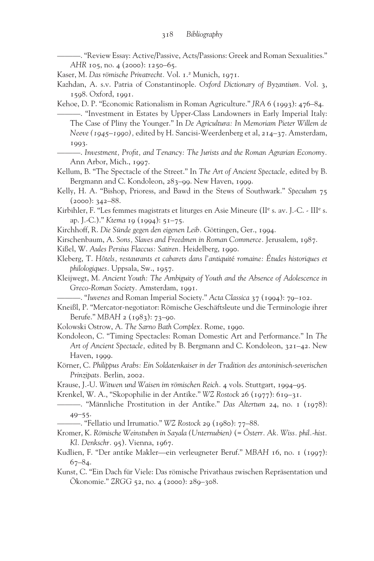———. "Review Essay: Active/Passive, Acts/Passions: Greek and Roman Sexualities." *AHR* 105, no. 4 (2000): 1250–65.

Kaser, M. *Das römische Privatrecht.* Vol. 1.2 Munich, 1971.

Kazhdan, A. s.v. Patria of Constantinople. *Oxford Dictionary of Byzantium.* Vol. 3, 1598. Oxford, 1991.

Kehoe, D. P. "Economic Rationalism in Roman Agriculture." *JRA* 6 (1993): 476–84.

———. "Investment in Estates by Upper-Class Landowners in Early Imperial Italy: The Case of Pliny the Younger." In *De Agricultura: In Memoriam Pieter Willem de Neeve (1945–1990),* edited by H. Sancisi-Weerdenberg et al, 214–37. Amsterdam, 1993.

——. *Investment, Profit, and Tenancy: The Jurists and the Roman Agrarian Economy.* Ann Arbor, Mich., 1997.

Kellum, B. "The Spectacle of the Street." In *The Art of Ancient Spectacle,* edited by B. Bergmann and C. Kondoleon, 283–99. New Haven, 1999.

Kelly, H. A. "Bishop, Prioress, and Bawd in the Stews of Southwark." *Speculum* 75  $(2000): 342 - 88.$ 

Kirbihler, F. "Les femmes magistrats et liturges en Asie Mineure (II<sup>e</sup> s. av. J.-C. - III<sup>e</sup> s. ap. J.-C.)." *Ktema* 19 (1994): 51–75.

Kirchhoff, R. *Die Sünde gegen den eigenen Leib.* Göttingen, Ger., 1994.

Kirschenbaum, A. *Sons, Slaves and Freedmen in Roman Commerce.* Jerusalem, 1987.

Kißel, W. *Aules Persius Flaccus: Satiren.* Heidelberg, 1990.

Kleberg, T. *Hôtels, restaurants et cabarets dans l'antiquit*é *romaine: Études historiques et philologiques.* Uppsala, Sw., 1957.

Kleijwegt, M. *Ancient Youth: The Ambiguity of Youth and the Absence of Adolescence in Greco-Roman Society.* Amsterdam, 1991.

———. "*Iuvenes* and Roman Imperial Society." *Acta Classica* 37 (1994): 79–102.

Kneißl, P. "Mercator-negotiator: Römische Geschäftsleute und die Terminologie ihrer Berufe." *MBAH* 2 (1983): 73–90.

Kolowski Ostrow, A. *The Sarno Bath Complex.* Rome, 1990.

Kondoleon, C. "Timing Spectacles: Roman Domestic Art and Performance." In *The Art of Ancient Spectacle,* edited by B. Bergmann and C. Kondoleon, 321–42. New Haven, 1999.

Körner, C. *Philippus Arabs: Ein Soldatenkaiser in der Tradition des antoninisch-severischen Prinzipats.* Berlin, 2002.

Krause, J.-U. *Witwen und Waisen im römischen Reich.* 4 vols. Stuttgart, 1994–95.

Krenkel, W. A., "Skopophilie in der Antike." *WZ Rostock* 26 (1977): 619–31.

———. "Männliche Prostitution in der Antike." *Das Altertum* 24, no. 1 (1978):  $40 - 55$ .

———. "Fellatio und Irrumatio." *WZ Rostock* 29 (1980): 77–88.

Kromer, K. *Römische Weinstuben in Sayala (Unternubien)* (= *Österr. Ak. Wiss. phil.-hist. Kl. Denkschr.* 95). Vienna, 1967.

Kudlien, F. "Der antike Makler—ein verleugneter Beruf." *MBAH* 16, no. 1 (1997):  $67 - 84.$ 

Kunst, C. "Ein Dach für Viele: Das römische Privathaus zwischen Repräsentation und Ökonomie." *ZRGG* 52, no. 4 (2000): 289–308.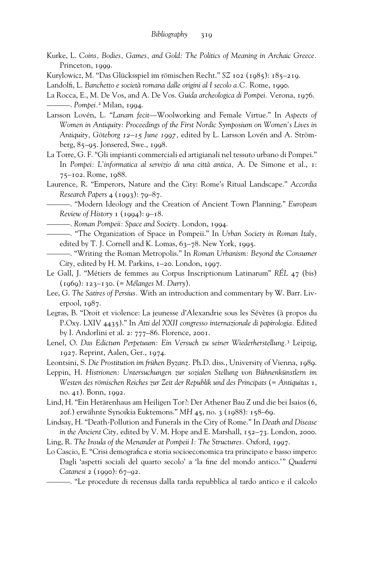- Kurke, L. *Coins, Bodies, Games, and Gold: The Politics of Meaning in Archaic Greece.* Princeton, 1999.
- Kurylowicz, M. "Das Glücksspiel im römischen Recht." *SZ* 102 (1985): 185–219.

- La Rocca, E., M. De Vos, and A. De Vos. *Guida archeologica di Pompei.* Verona, 1976. ———. *Pompei.*<sup>2</sup> Milan, 1994.
- Larsson Lovén, L. "*Lanam fecit*—Woolworking and Female Virtue." In *Aspects of Women in Antiquity: Proceedings of the First Nordic Symposium on Women's Lives in Antiquity, Göteborg 12–15 June 1997,* edited by L. Larsson Lovén and A. Strömberg, 85–95. Jonsered, Swe., 1998.
- La Torre, G. F. "Gli impianti commerciali ed artigianali nel tessuto urbano di Pompei." In *Pompei: L'informatica al servizio di una città antica,* A. De Simone et al., 1: 75–102. Rome, 1988.
- Laurence, R. "Emperors, Nature and the City: Rome's Ritual Landscape." *Accordia Research Papers* 4 (1993): 79–87.

———. "Modern Ideology and the Creation of Ancient Town Planning." *European Review of History* 1 (1994): 9–18.

- ———. *Roman Pompeii: Space and Society.* London, 1994.
- ———. "The Organization of Space in Pompeii." In *Urban Society in Roman Italy,* edited by T. J. Cornell and K. Lomas, 63–78. New York, 1995.
- ———. "Writing the Roman Metropolis." In *Roman Urbanism: Beyond the Consumer City,* edited by H. M. Parkins, 1–20. London, 1997.
- Le Gall, J. "Métiers de femmes au Corpus Inscriptionum Latinarum" *RÉL* 47 (bis) (1969): 123–130. (= *Mélanges M. Durry*).
- Lee, G. *The Satires of Persius.* With an introduction and commentary by W. Barr. Liverpool, 1987.
- Legras, B. "Droit et violence: La jeunesse d'Alexandrie sous les Sévères (à propos du P.Oxy. LXIV 4435)." In *Atti del XXII congresso internazionale di papirologia.* Edited by I. Andorlini et al. 2: 777–86. Florence, 2001.
- Lenel, O. *Das Edictum Perpetuum: Ein Versuch zu seiner Wiederherstellung.*<sup>3</sup> Leipzig, 1927. Reprint, Aalen, Ger., 1974.
- Leontsini, S. *Die Prostitution im frühen Byzanz.* Ph.D. diss., University of Vienna, 1989.
- Leppin, H. *Histrionen: Untersuchungen zur sozialen Stellung von Bühnenkünstlern im Westen des römischen Reiches zur Zeit der Republik und des Principats* (= *Antiquitas* 1, no. 41). Bonn, 1992.
- Lind, H. "Ein Hetärenhaus am Heiligen Tor?: Der Athener Bau Z und die bei Isaios (6, 20f.) erwähnte Synoikia Euktemons." *MH* 45, no. 3 (1988): 158–69.
- Lindsay, H. "Death-Pollution and Funerals in the City of Rome." In *Death and Disease in the Ancient City,* edited by V. M. Hope and E. Marshall, 152–73. London, 2000.
- Ling, R. *The Insula of the Menander at Pompeii I: The Structures.* Oxford, 1997.
- Lo Cascio, E. "Crisi demografica e storia socioeconomica tra principato e basso impero: Dagli 'aspetti sociali del quarto secolo' a 'la fine del mondo antico.'" *Quaderni Catanesi* 2 (1990): 67–92.
	- ———. "Le procedure di recensus dalla tarda repubblica al tardo antico e il calcolo

Landolfi, L. *Banchetto e società romana dalle origini al I secolo a.C.* Rome, 1990.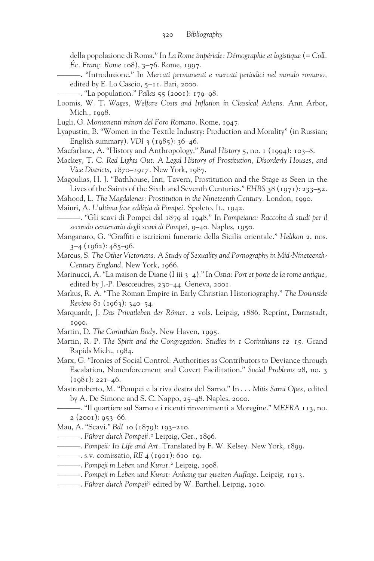della popolazione di Roma." In *La Rome impériale: Démographie et logistique* (= *Coll. Éc. Franç. Rome* 108), 3–76. Rome, 1997.

- ———. "Introduzione." In *Mercati permanenti e mercati periodici nel mondo romano,* edited by E. Lo Cascio, 5–11. Bari, 2000.
- ———. "La population." *Pallas* 55 (2001): 179–98.
- Loomis, W. T. *Wages, Welfare Costs and Inflation in Classical Athens*. Ann Arbor, Mich., 1998.
- Lugli, G. *Monumenti minori del Foro Romano.* Rome, 1947.
- Lyapustin, B. "Women in the Textile Industry: Production and Morality" (in Russian; English summary). *VDI* 3 (1985): 36–46.
- Macfarlane, A. "History and Anthropology." *Rural History* 5, no. 1 (1994): 103–8.
- Mackey, T. C. *Red Lights Out: A Legal History of Prostitution, Disorderly Houses, and Vice Districts, 1870–1917.* New York, 1987.
- Magoulias, H. J. "Bathhouse, Inn, Tavern, Prostitution and the Stage as Seen in the Lives of the Saints of the Sixth and Seventh Centuries." *EHBS* 38 (1971): 233–52.
- Mahood, L. *The Magdalenes: Prostitution in the Nineteenth Century.* London, 1990.

Maiuri, A. *L'ultima fase edilizia di Pompei.* Spoleto, It., 1942.

- ———. "Gli scavi di Pompei dal 1879 al 1948." In *Pompeiana: Raccolta di studi per il secondo centenario degli scavi di Pompei,* 9–40. Naples, 1950.
- Manganaro, G. "Graffiti e iscrizioni funerarie della Sicilia orientale." *Helikon* 2, nos.  $3-4$  (1962):  $485-96$ .
- Marcus, S. *The Other Victorians: A Study of Sexuality and Pornography in Mid-Nineteenth-Century England.* New York, 1966.
- Marinucci, A. "La maison de Diane (I iii 3–4)." In *Ostia: Port et porte de la rome antique,* edited by J.-P. Descœudres, 230–44. Geneva, 2001.
- Markus, R. A. "The Roman Empire in Early Christian Historiography." *The Downside Review* 81 (1963): 340–54.
- Marquardt, J. *Das Privatleben der Römer.* 2 vols. Leipzig, 1886. Reprint, Darmstadt, 1990.
- Martin, D. *The Corinthian Body.* New Haven, 1995.
- Martin, R. P. *The Spirit and the Congregation: Studies in 1 Corinthians 12–15.* Grand Rapids Mich., 1984.
- Marx, G. "Ironies of Social Control: Authorities as Contributors to Deviance through Escalation, Nonenforcement and Covert Facilitation." *Social Problems* 28, no. 3  $(1981): 221-46.$
- Mastroroberto, M. "Pompei e la riva destra del Sarno." In . . . *Mitis Sarni Opes,* edited by A. De Simone and S. C. Nappo, 25–48. Naples, 2000.
	- ———. "Il quartiere sul Sarno e i ricenti rinvenimenti a Moregine." *MEFRA* 113, no.  $2$  (2001): 953–66.

Mau, A. "Scavi." *BdI* 10 (1879): 193–210.

- ———. *Führer durch Pompeji.*<sup>2</sup> Leipzig, Ger., 1896.
- ———. *Pompeii: Its Life and Art.* Translated by F. W. Kelsey. New York, 1899.
- ———. s.v. comissatio, *RE* 4 (1901): 610–19.
- ———. *Pompeji in Leben und Kunst.*<sup>2</sup> Leipzig, 1908.
- ——. Pompeji in Leben und Kunst: Anhang zur zweiten Auflage. Leipzig, 1913.
- ———. *Führer durch Pompeji*<sup>5</sup> edited by W. Barthel. Leipzig, 1910.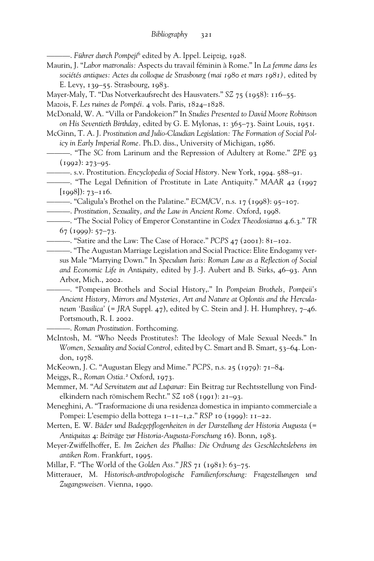———. *Führer durch Pompeji*<sup>6</sup> edited by A. Ippel. Leipzig, 1928.

Maurin, J. "*Labor matronalis:* Aspects du travail féminin à Rome." In *La femme dans les sociétés antiques: Actes du colloque de Strasbourg (mai 1980 et mars 1981),* edited by E. Levy, 139–55. Strasbourg, 1983.

Mayer-Maly, T. "Das Notverkaufsrecht des Hausvaters." *SZ* 75 (1958): 116–55.

Mazois, F. *Les ruines de Pompéi.* 4 vols. Paris, 1824–1828.

McDonald, W. A. "Villa or Pandokeion?" In *Studies Presented to David Moore Robinson on His Seventieth Birthday,* edited by G. E. Mylonas, 1: 365–73. Saint Louis, 1951.

McGinn, T. A. J. *Prostitution and Julio-Claudian Legislation: The Formation of Social Policy in Early Imperial Rome.* Ph.D. diss., University of Michigan, 1986.

———. "The *SC* from Larinum and the Repression of Adultery at Rome." *ZPE* 93  $(1992): 273-95.$ 

———. s.v. Prostitution. *Encyclopedia of Social History.* New York, 1994. 588–91.

<sup>----</sup> The Legal Definition of Prostitute in Late Antiquity." *MAAR* 42 (1997  $[1998]$ : 73–116.

———. "Caligula's Brothel on the Palatine." *ECM/CV,* n.s. 17 (1998): 95–107.

———. *Prostitution, Sexuality, and the Law in Ancient Rome.* Oxford, 1998.

———. "The Social Policy of Emperor Constantine in *Codex Theodosianus* 4.6.3." *TR*  $67$  (1999):  $57-73$ .

———. "Satire and the Law: The Case of Horace." *PCPS* 47 (2001): 81–102.

———. "The Augustan Marriage Legislation and Social Practice: Elite Endogamy versus Male "Marrying Down." In *Speculum Iuris: Roman Law as a Reflection of Social and Economic Life in Antiquity,* edited by J.-J. Aubert and B. Sirks, 46–93. Ann Arbor, Mich., 2002.

———. "Pompeian Brothels and Social History,." In *Pompeian Brothels, Pompeii's Ancient History, Mirrors and Mysteries, Art and Nature at Oplontis and the Herculaneum 'Basilica'* (= *JRA* Suppl. 47), edited by C. Stein and J. H. Humphrey, 7–46. Portsmouth, R. I. 2002.

———. *Roman Prostitution.* Forthcoming.

McIntosh, M. "Who Needs Prostitutes?: The Ideology of Male Sexual Needs." In *Women, Sexuality and Social Control,* edited by C. Smart and B. Smart, 53–64. London, 1978.

McKeown, J. C. "Augustan Elegy and Mime." *PCPS,* n.s. 25 (1979): 71–84.

Meiggs, R., *Roman Ostia.*<sup>2</sup> Oxford, 1973.

Memmer, M. "*Ad Servitutem aut ad Lupanar:* Ein Beitrag zur Rechtsstellung von Findelkindern nach römischem Recht." *SZ* 108 (1991): 21–93.

- Meneghini, A. "Trasformazione di una residenza domestica in impianto commerciale a Pompei: L'esempio della bottega 1–11–1,2." *RSP* 10 (1999): 11–22.
- Merten, E. W. *Bäder und Badegepflogenheiten in der Darstellung der Historia Augusta* (= *Antiquitas* 4: *Beiträge zur Historia-Augusta-Forschung* 16). Bonn, 1983.
- Meyer-Zwiffelhoffer, E. *Im Zeichen des Phallus: Die Ordnung des Geschlechtslebens im antiken Rom.* Frankfurt, 1995.

Millar, F. "The World of the *Golden Ass.*" *JRS* 71 (1981): 63–75.

Mitterauer, M. *Historisch-anthropologische Familienforschung: Fragestellungen und Zugangsweisen.* Vienna, 1990.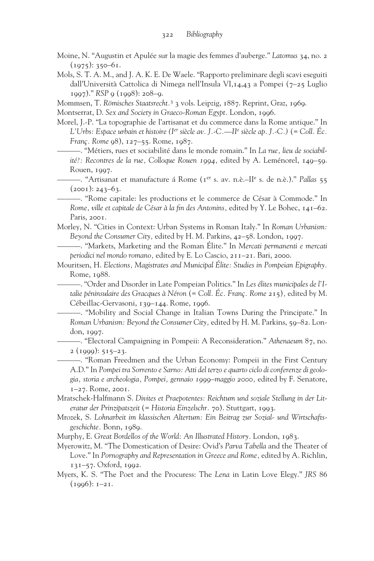- Moine, N. "Augustin et Apulée sur la magie des femmes d'auberge." *Latomus* 34, no. 2  $(1975): 350-61.$
- Mols, S. T. A. M., and J. A. K. E. De Waele. "Rapporto preliminare degli scavi eseguiti dall'Università Cattolica di Nimega nell'Insula VI,14,43 a Pompei (7–25 Luglio 1997)." *RSP* 9 (1998): 208–9.

Mommsen, T. *Römisches Staatsrecht.*<sup>3</sup> 3 vols. Leipzig, 1887. Reprint, Graz, 1969.

Montserrat, D. *Sex and Society in Graeco-Roman Egypt.* London, 1996.

Morel, J.-P. "La topographie de l'artisanat et du commerce dans la Rome antique." In *L'Urbs: Espace urbain et histoire (Ier siècle av. J.-C.—IIe siècle ap. J.-C.)* (= *Coll. Éc. Franç. Rome* 98), 127–55. Rome, 1987.

———. "Métiers, rues et sociabilité dans le monde romain." In *La rue, lieu de sociabilité?: Recontres de la rue, Colloque Rouen 1994,* edited by A. Leménorel, 149–59. Rouen, 1997.

———. "Artisanat et manufacture á Rome (1er s. av. n.è.–IIe s. de n.è.)." *Pallas* 55  $(2001): 243 - 63.$ 

———. "Rome capitale: les productions et le commerce de César à Commode." In *Rome, ville et capitale de César à la ‹n des Antonins,* edited by Y. Le Bohec, 141–62. Paris, 2001.

Morley, N. "Cities in Context: Urban Systems in Roman Italy." In *Roman Urbanism: Beyond the Consumer City,* edited by H. M. Parkins, 42–58. London, 1997.

———. "Markets, Marketing and the Roman Élite." In *Mercati permanenti e mercati periodici nel mondo romano,* edited by E. Lo Cascio, 211–21. Bari, 2000.

Mouritsen, H. *Elections, Magistrates and Municipal Élite: Studies in Pompeian Epigraphy.* Rome, 1988.

———. "Order and Disorder in Late Pompeian Politics." In *Les élites municipales de l'Italie péninsulaire des Gracques à Néron* (= *Coll. Éc. Franç. Rome* 215)*,* edited by M. Cébeillac-Gervasoni, 139–144. Rome, 1996.

———. "Mobility and Social Change in Italian Towns During the Principate." In *Roman Urbanism: Beyond the Consumer City,* edited by H. M. Parkins, 59–82. London, 1997.

———. "Electoral Campaigning in Pompeii: A Reconsideration." *Athenaeum* 87, no.  $2 (1999): 515 - 23.$ 

———. "Roman Freedmen and the Urban Economy: Pompeii in the First Century A.D." In *Pompei tra Sorrento e Sarno: Atti del terzo e quarto ciclo di conferenze di geologia, storia e archeologia, Pompei, gennaio 1999–maggio 2000,* edited by F. Senatore, 1–27. Rome, 2001.

Mratschek-Halfmann S. *Divites et Praepotentes: Reichtum und soziale Stellung in der Literatur der Prinzipatszeit* (= *Historia Einzelschr.* 70). Stuttgart, 1993.

Mrozek, S. *Lohnarbeit im klassischen Altertum: Ein Beitrag zur Sozial- und Wirtschaftsgeschichte.* Bonn, 1989.

Murphy, E. *Great Bordellos of the World: An Illustrated History.* London, 1983.

Myerowitz, M. "The Domestication of Desire: Ovid's *Parva Tabella* and the Theater of Love." In Pornography and Representation in Greece and Rome, edited by A. Richlin, 131–57. Oxford, 1992.

Myers, K. S. "The Poet and the Procuress: The *Lena* in Latin Love Elegy." *JRS* 86  $(1996): 1-21.$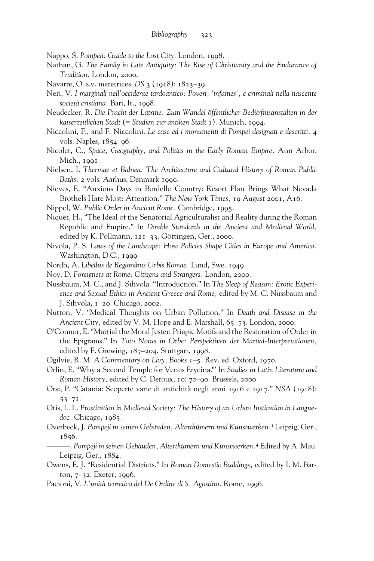Nappo, S. *Pompeii: Guide to the Lost City.* London, 1998.

- Nathan, G. *The Family in Late Antiquity: The Rise of Christianity and the Endurance of Tradition.* London, 2000.
- Navarre, O. s.v. meretrices. *DS* 3 (1918): 1823–39.
- Neri, V. *I marginali nell'occidente tardoantico: Poveri, 'infames', e criminali nella nascente società cristiana.* Bari, It., 1998.
- Neudecker, R. *Die Pracht der Latrine: Zum Wandel öffentlicher Bedürfnisanstalten in der kaiserzeitlichen Stadt* (= *Studien zur antiken Stadt* 1). Munich, 1994.
- Niccolini, F., and F. Niccolini. *Le case ed i monumenti di Pompei designati e descritti.* 4 vols. Naples, 1854–96.
- Nicolet, C., *Space, Geography, and Politics in the Early Roman Empire.* Ann Arbor, Mich., 1991.
- Nielsen, I. *Thermae et Balnea: The Architecture and Cultural History of Roman Public Baths.* 2 vols. Aarhus, Denmark 1990.
- Nieves, E. "Anxious Days in Bordello Country: Resort Plan Brings What Nevada Brothels Hate Most: Attention." *The New York Times,* 19 August 2001, A16.
- Nippel, W. *Public Order in Ancient Rome.* Cambridge, 1995.
- Niquet, H., "The Ideal of the Senatorial Agriculturalist and Reality during the Roman Republic and Empire." In *Double Standards in the Ancient and Medieval World,* edited by K. Pollmann, 121–33. Göttingen, Ger., 2000.
- Nivola, P. S. *Laws of the Landscape: How Policies Shape Cities in Europe and America.* Washington, D.C., 1999.
- Nordh, A. *Libellus de Regionibus Urbis Romae.* Lund, Swe. 1949.
- Noy, D. *Foreigners at Rome: Citizens and Strangers.* London, 2000.
- Nussbaum, M. C., and J. Sihvola. "Introduction." In *The Sleep of Reason: Erotic Experience and Sexual Ethics in Ancient Greece and Rome,* edited by M. C. Nussbaum and J. Sihvola, 1–20. Chicago, 2002.
- Nutton, V. "Medical Thoughts on Urban Pollution." In *Death and Disease in the Ancient City,* edited by V. M. Hope and E. Marshall, 65–73. London, 2000.
- O'Connor, E. "Martial the Moral Jester: Priapic Motifs and the Restoration of Order in the Epigrams." In *Toto Notus in Orbe: Perspektiven der Martial*-*Interpretationen,* edited by F. Grewing, 187–204. Stuttgart, 1998.
- Ogilvie, R. M. *A Commentary on Livy, Books 1–5.* Rev. ed. Oxford, 1970.
- Orlin, E. "Why a Second Temple for Venus Erycina?" In *Studies in Latin Literature and Roman History,* edited by C. Deroux, 10: 70–90. Brussels, 2000.
- Orsi, P. "Catania: Scoperte varie di antichità negli anni 1916 e 1917." *NSA* (1918): 53–71.
- Otis, L. L. *Prostitution in Medieval Society: The History of an Urban Institution in Languedoc.* Chicago, 1985.
- Overbeck, J. *Pompeji in seinen Gebäuden, Alterthümern und Kunstwerken.*1 Leipzig, Ger., 1856.
- ———. *Pompeji in seinen Gebäuden, Alterthümern und Kunstwerken.*<sup>4</sup> Edited by A. Mau. Leipzig, Ger., 1884.
- Owens, E. J. "Residential Districts." In *Roman Domestic Buildings,* edited by I. M. Barton, 7–32. Exeter, 1996.
- Pacioni, V. *L'unità teoretica del De Ordine di S. Agostino.* Rome, 1996.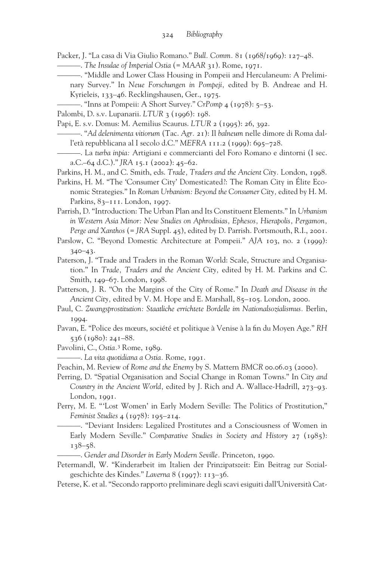Packer, J. "La casa di Via Giulio Romano." *Bull. Comm.* 81 (1968/1969): 127–48.

```
———. The Insulae of Imperial Ostia (= MAAR 31). Rome, 1971.
```
- ———. "Middle and Lower Class Housing in Pompeii and Herculaneum: A Preliminary Survey." In *Neue Forschungen in Pompeji,* edited by B. Andreae and H. Kyrieleis, 133–46. Recklingshausen, Ger., 1975.
- ———. "Inns at Pompeii: A Short Survey." *CrPomp* 4 (1978): 5–53.

Palombi, D. s.v. Lupanarii. *LTUR* 3 (1996): 198.

Papi, E. s.v. Domus: M. Aemilius Scaurus. *LTUR* 2 (1995): 26, 392.

- ———. "*Ad delenimenta vitiorum* (Tac. *Agr.* 21): Il *balneum* nelle dimore di Roma dall'età repubblicana al I secolo d.C." *MEFRA* 111.2 (1999): 695–728.
- ———. La *turba inpia:* Artigiani e commercianti del Foro Romano e dintorni (I sec. a.C.–64 d.C.)." *JRA* 15.1 (2002): 45–62.
- Parkins, H. M., and C. Smith, eds. *Trade, Traders and the Ancient City.* London, 1998.
- Parkins, H. M. "The 'Consumer City' Domesticated?: The Roman City in Élite Economic Strategies." In *Roman Urbanism: Beyond the Consumer City,* edited by H. M. Parkins, 83-111. London, 1997.
- Parrish, D. "Introduction: The Urban Plan and Its Constituent Elements." In *Urbanism in Western Asia Minor: New Studies on Aphrodisias, Ephesos, Hierapolis, Pergamon, Perge and Xanthos* (= *JRA* Suppl. 45), edited by D. Parrish. Portsmouth, R.I., 2001.
- Parslow, C. "Beyond Domestic Architecture at Pompeii." *AJA* 103, no. 2 (1999): 340–43.
- Paterson, J. "Trade and Traders in the Roman World: Scale, Structure and Organisation." In *Trade, Traders and the Ancient City,* edited by H. M. Parkins and C. Smith, 149–67. London, 1998.
- Patterson, J. R. "On the Margins of the City of Rome." In *Death and Disease in the Ancient City,* edited by V. M. Hope and E. Marshall, 85–105. London, 2000.
- Paul, C. *Zwangsprostitution: Staatliche errichtete Bordelle im Nationalsozialismus.* Berlin, 1994.
- Pavan, E. "Police des mœurs, société et politique à Venise à la fin du Moyen Age." RH 536 (1980): 241–88.

Pavolini, C., *Ostia.*<sup>3</sup> Rome, 1989.

———. *La vita quotidiana a Ostia.* Rome, 1991.

Peachin, M. Review of *Rome and the Enemy* by S. Mattern *BMCR* 00.06.03 (2000).

Perring, D. "Spatial Organisation and Social Change in Roman Towns." In *City and Country in the Ancient World,* edited by J. Rich and A. Wallace-Hadrill, 273–93. London, 1991.

- Perry, M. E. "'Lost Women' in Early Modern Seville: The Politics of Prostitution," *Feminist Studies* 4 (1978): 195–214.
	- ———. "Deviant Insiders: Legalized Prostitutes and a Consciousness of Women in Early Modern Seville." *Comparative Studies in Society and History* 27 (1985): 138–58.
	- ———. *Gender and Disorder in Early Modern Seville.* Princeton, 1990.
- Petermandl, W. "Kinderarbeit im Italien der Prinzipatszeit: Ein Beitrag zur Sozialgeschichte des Kindes." *Laverna* 8 (1997): 113–36.
- Peterse, K. et al. "Secondo rapporto preliminare degli scavi esiguiti dall'Università Cat-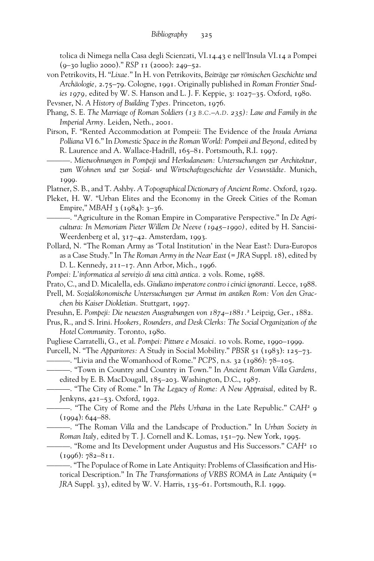tolica di Nimega nella Casa degli Scienzati, VI.14.43 e nell'Insula VI.14 a Pompei (9–30 luglio 2000)." *RSP* 11 (2000): 249–52.

von Petrikovits, H. "*Lixae.*" In H. von Petrikovits, *Beiträge zur römischen Geschichte und Archäologie,* 2.75–79. Cologne, 1991. Originally published in *Roman Frontier Studies 1979,* edited by W. S. Hanson and L. J. F. Keppie, 3: 1027–35. Oxford, 1980.

Pevsner, N. *A History of Building Types.* Princeton, 1976.

- Phang, S. E. *The Marriage of Roman Soldiers (13 B.C.–A.D. 235): Law and Family in the Imperial Army.* Leiden, Neth., 2001.
- Pirson, F. "Rented Accommodation at Pompeii: The Evidence of the *Insula Arriana Polliana* VI 6." In *Domestic Space in the Roman World: Pompeii and Beyond,* edited by R. Laurence and A. Wallace-Hadrill, 165–81. Portsmouth, R.I. 1997.
	- ———. *Mietwohnungen in Pompeji und Herkulaneum: Untersuchungen zur Architektur, zum Wohnen und zur Sozial*- *und Wirtschaftsgeschichte der Vesuvstädte.* Munich, 1999.
- Platner, S. B., and T. Ashby. *A Topographical Dictionary of Ancient Rome.* Oxford, 1929.
- Pleket, H. W. "Urban Elites and the Economy in the Greek Cities of the Roman Empire," *MBAH* 3 (1984): 3–36.
	- "Agriculture in the Roman Empire in Comparative Perspective." In *De Agricultura: In Memoriam Pieter Willem De Neeve (1945–1990),* edited by H. Sancisi-Weerdenberg et al, 317–42. Amsterdam, 1993.
- Pollard, N. "The Roman Army as 'Total Institution' in the Near East?: Dura-Europos as a Case Study." In *The Roman Army in the Near East* (= *JRA* Suppl. 18), edited by D. L. Kennedy, 211–17. Ann Arbor, Mich., 1996.
- *Pompei: L'informatica al servizio di una città antica.* 2 vols. Rome, 1988.
- Prato, C., and D. Micalella, eds. *Giuliano imperatore contro i cinici ignoranti.* Lecce, 1988.
- Prell, M. *Sozialökonomische Untersuchungen zur Armut im antiken Rom: Von den Gracchen bis Kaiser Diokletian.* Stuttgart, 1997.
- Presuhn, E. *Pompeji: Die neuesten Ausgrabungen von 1874–1881.*<sup>2</sup> Leipzig, Ger., 1882.
- Prus, R., and S. Irini. *Hookers, Rounders, and Desk Clerks: The Social Organization of the Hotel Community.* Toronto, 1980.
- Pugliese Carratelli, G., et al. *Pompei: Pitture e Mosaici.* 10 vols. Rome, 1990–1999.
- Purcell, N. "The *Apparitores:* A Study in Social Mobility." *PBSR* 51 (1983): 125–73. ———. "Livia and the Womanhood of Rome." *PCPS,* n.s. 32 (1986): 78–105.
	- ———. "Town in Country and Country in Town." In *Ancient Roman Villa Gardens,* edited by E. B. MacDougall, 185–203. Washington, D.C., 1987.
	- ———. "The City of Rome." In *The Legacy of Rome: A New Appraisal,* edited by R. Jenkyns, 421–53. Oxford, 1992.
	- ———. "The City of Rome and the *Plebs Urbana* in the Late Republic." *CAH*<sup>2</sup> 9  $(1994): 644 - 88.$

———. "The Roman *Villa* and the Landscape of Production." In *Urban Society in Roman Italy,* edited by T. J. Cornell and K. Lomas, 151–79. New York, 1995.

- ———. "Rome and Its Development under Augustus and His Successors." *CAH*<sup>2</sup> 10  $(1996): 782 - 811.$ 
	- —. "The Populace of Rome in Late Antiquity: Problems of Classification and Historical Description." In *The Transformations of VRBS ROMA in Late Antiquity* (= *JRA* Suppl. 33), edited by W. V. Harris, 135–61. Portsmouth, R.I. 1999.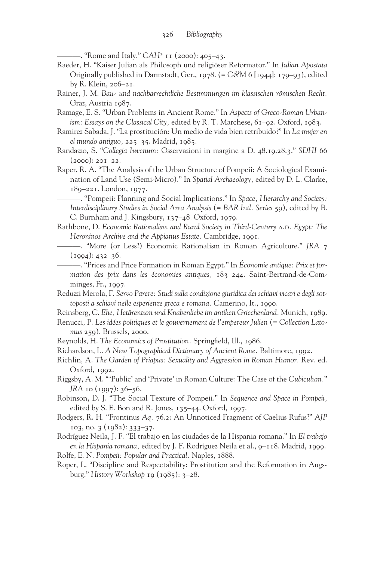———. "Rome and Italy." *CAH*<sup>2</sup> 11 (2000): 405–43.

- Raeder, H. "Kaiser Julian als Philosoph und religiöser Reformator." In *Julian Apostata* Originally published in Darmstadt, Ger., 1978. (= *C&M* 6 [1944]: 179–93), edited by R. Klein, 206–21.
- Rainer, J. M. *Bau- und nachbarrechtliche Bestimmungen im klassischen römischen Recht.* Graz, Austria 1987.
- Ramage, E. S. "Urban Problems in Ancient Rome." In *Aspects of Greco-Roman Urbanism: Essays on the Classical City,* edited by R. T. Marchese, 61–92. Oxford, 1983.
- Ramirez Sabada, J. "La prostitución: Un medio de vida bien retribuido?" In *La mujer en el mundo antiguo,* 225–35. Madrid, 1985.
- Randazzo, S. "*Collegia Iuvenum:* Osservazioni in margine a D. 48.19.28.3." *SDHI* 66 (2000): 201–22.
- Raper, R. A. "The Analysis of the Urban Structure of Pompeii: A Sociological Examination of Land Use (Semi-Micro)." In *Spatial Archaeology,* edited by D. L. Clarke, 189–221. London, 1977.
	- ———. "Pompeii: Planning and Social Implications." In *Space, Hierarchy and Society: Interdisciplinary Studies in Social Area Analysis* (= *BAR Intl. Series* 59), edited by B. C. Burnham and J. Kingsbury, 137–48. Oxford, 1979.
- Rathbone, D. *Economic Rationalism and Rural Society in Third-Century* a.d*. Egypt: The Heroninos Archive and the Appianus Estate.* Cambridge, 1991.
- ———. "More (or Less?) Economic Rationalism in Roman Agriculture." *JRA* 7  $(1994): 432 - 36.$ 
	- ———. "Prices and Price Formation in Roman Egypt." In *Économie antique: Prix et formation des prix dans les économies antiques,* 183–244. Saint-Bertrand-de-Comminges, Fr., 1997.
- Reduzzi Merola, F. *Servo Parere: Studi sulla condizione giuridica dei schiavi vicari e degli sottoposti a schiavi nelle esperienze greca e romana.* Camerino, It., 1990.
- Reinsberg, C. *Ehe, Hetärentum und Knabenliebe im antiken Griechenland.* Munich, 1989.
- Renucci, P. *Les idées politiques et le gouvernement de l'empereur Julien* (= *Collection Latomus* 259). Brussels, 2000.
- Reynolds, H. *The Economics of Prostitution*. Springfield, Ill., 1986.
- Richardson, L. *A New Topographical Dictionary of Ancient Rome.* Baltimore, 1992.
- Richlin, A. *The Garden of Priapus: Sexuality and Aggression in Roman Humor.* Rev. ed. Oxford, 1992.
- Riggsby, A. M. "'Public' and 'Private' in Roman Culture: The Case of the *Cubiculum.*" *JRA* 10 (1997): 36–56.
- Robinson, D. J. "The Social Texture of Pompeii." In *Sequence and Space in Pompeii,* edited by S. E. Bon and R. Jones, 135–44. Oxford, 1997.
- Rodgers, R. H. "Frontinus *Aq.* 76.2: An Unnoticed Fragment of Caelius Rufus?" *AJP* 103, no. 3 (1982): 333–37.
- Rodríguez Neila, J. F. "El trabajo en las ciudades de la Hispania romana." In *El trabajo en la Hispania romana,* edited by J. F. Rodríguez Neila et al., 9–118. Madrid, 1999. Rolfe, E. N. *Pompeii: Popular and Practical.* Naples, 1888.
- Roper, L. "Discipline and Respectability: Prostitution and the Reformation in Augsburg." *History Workshop* 19 (1985): 3–28.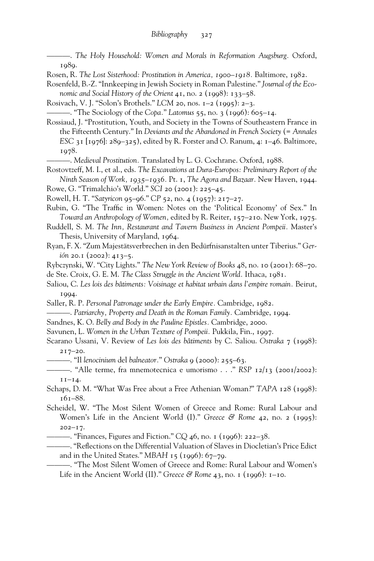———. *The Holy Household: Women and Morals in Reformation Augsburg.* Oxford, 1989.

Rosen, R. *The Lost Sisterhood: Prostitution in America, 1900–1918.* Baltimore, 1982.

Rosenfeld, B.-Z. "Innkeeping in Jewish Society in Roman Palestine." *Journal of the Economic and Social History of the Orient* 41, no. 2 (1998): 133–58.

Rosivach, V. J. "Solon's Brothels." *LCM* 20, nos. 1–2 (1995): 2–3.

———. "The Sociology of the *Copa.*" *Latomus* 55, no. 3 (1996): 605–14.

Rossiaud, J. "Prostitution, Youth, and Society in the Towns of Southeastern France in the Fifteenth Century." In *Deviants and the Abandoned in French Society* (= *Annales ESC* 31 [1976]: 289–325), edited by R. Forster and O. Ranum, 4: 1–46. Baltimore, 1978.

———. *Medieval Prostitution.* Translated by L. G. Cochrane. Oxford, 1988.

Rostovtzeff, M. I., et al., eds. *The Excavations at Dura-Europos: Preliminary Report of the Ninth Season of Work, 1935–1936.* Pt. 1, *The Agora and Bazaar.* New Haven, 1944.

Rowe, G. "Trimalchio's World." *SCI* 20 (2001): 225–45.

Rowell, H. T. "*Satyricon* 95–96." *CP* 52, no. 4 (1957): 217–27.

- Rubin, G. "The Traffic in Women: Notes on the 'Political Economy' of Sex." In *Toward an Anthropology of Women,* edited by R. Reiter, 157–210. New York, 1975.
- Ruddell, S. M. *The Inn, Restaurant and Tavern Business in Ancient Pompeii.* Master's Thesis, University of Maryland, 1964.
- Ryan, F. X. "Zum Majestätsverbrechen in den Bedürfnisanstalten unter Tiberius." *Gerión* 20.1 (2002): 413–5.

Rybczynski, W. "City Lights." *The New York Review of Books* 48, no. 10 (2001): 68–70.

de Ste. Croix, G. E. M. *The Class Struggle in the Ancient World.* Ithaca, 1981.

- Saliou, C. *Les lois des bâtiments: Voisinage et habitat urbain dans l'empire romain.* Beirut, 1994.
- Saller, R. P. *Personal Patronage under the Early Empire.* Cambridge, 1982.
- ———. *Patriarchy, Property and Death in the Roman Family.* Cambridge, 1994.
- Sandnes, K. O. *Belly and Body in the Pauline Epistles.* Cambridge, 2000.
- Savunen, L. *Women in the Urban Texture of Pompeii.* Pukkila, Fin., 1997.
- Scarano Ussani, V. Review of *Les lois des bâtiments* by C. Saliou. *Ostraka* 7 (1998): 217–20.
- ———. "Il *lenocinium* del *balneator.*" *Ostraka* 9 (2000): 255–63.
- ———. "Alle terme, fra mnemotecnica e umorismo . . ." *RSP* 12/13 (2001/2002):  $I I-I4.$
- Schaps, D. M. "What Was Free about a Free Athenian Woman?" *TAPA* 128 (1998): 161–88.
- Scheidel, W. "The Most Silent Women of Greece and Rome: Rural Labour and Women's Life in the Ancient World (I)." *Greece & Rome* 42, no. 2 (1995): 202–17.
	- ———. "Finances, Figures and Fiction." *CQ* 46, no. 1 (1996): 222–38.
- . "Reflections on the Differential Valuation of Slaves in Diocletian's Price Edict and in the United States." *MBAH* 15 (1996): 67–79.

———. "The Most Silent Women of Greece and Rome: Rural Labour and Women's Life in the Ancient World (II)." *Greece & Rome* 43, no. 1 (1996): 1–10.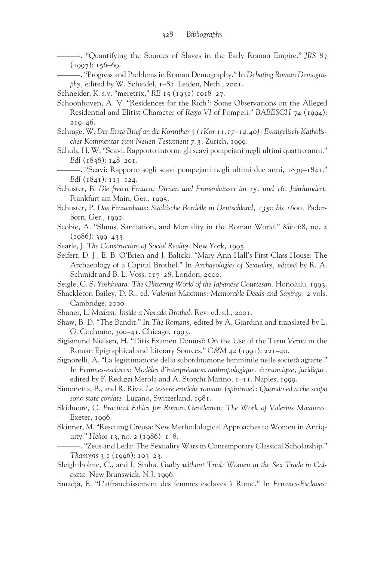———. "Quantifying the Sources of Slaves in the Early Roman Empire." *JRS* 87  $(1997): 156-69.$ 

———. "Progress and Problems in Roman Demography." In *Debating Roman Demography,* edited by W. Scheidel, 1–81. Leiden, Neth., 2001.

Schneider, K. s.v. "meretrix," *RE* 15 (1931) 1018–27.

- Schoonhoven, A. V. "Residences for the Rich?: Some Observations on the Alleged Residential and Elitist Character of *Regio VI* of Pompeii." *BABESCH* 74 (1994):  $219 - 46.$
- Schrage, W. *Der Erste Brief an die Korinther 3 (1Kor 11.17–14.40): Evangelisch-Katholischer Kommentar zum Neuen Testament 7.3.* Zurich, 1999.
- Schulz, H. W. "Scavi: Rapporto intorno gli scavi pompeiani negli ultimi quattro anni." *BdI* (1838): 148–201.
	- ———. "Scavi: Rapporto sugli scavi pompejani negli ultimi due anni, 1839–1841." *BdI* (1841): 113–124.
- Schuster, B. *Die freien Frauen: Dirnen und Frauenhäuser im 15. und 16. Jahrhundert.* Frankfurt am Main, Ger., 1995.
- Schuster, P. *Das Frauenhaus: Städtische Bordelle in Deutschland, 1350 bis 1600.* Paderborn, Ger., 1992.
- Scobie, A. "Slums, Sanitation, and Mortality in the Roman World." *Klio* 68, no. 2  $(1986): 399 - 433.$
- Searle, J. *The Construction of Social Reality.* New York, 1995.
- Seifert, D. J., E. B. O'Brien and J. Balicki. "Mary Ann Hall's First-Class House: The Archaeology of a Capital Brothel." In *Archaeologies of Sexuality,* edited by R. A. Schmidt and B. L. Voss, 117–28. London, 2000.

Seigle, C. S. *Yoshiwara: The Glittering World of the Japanese Courtesan.* Honolulu, 1993.

Shackleton Bailey, D. R., ed. *Valerius Maximus: Memorable Deeds and Sayings.* 2 vols. Cambridge, 2000.

- Shaner, L. *Madam: Inside a Nevada Brothel.* Rev. ed. s.l., 2001.
- Shaw, B. D. "The Bandit." In *The Romans,* edited by A. Giardina and translated by L. G. Cochrane, 300–41. Chicago, 1993.
- Sigismund Nielsen, H. "Ditis Examen Domus?: On the Use of the Term *Verna* in the Roman Epigraphical and Literary Sources." *C&M* 42 (1991): 221–40.
- Signorelli, A. "La legittimazione della subordinazione femminile nelle società agrarie." In *Femmes-esclaves: Modèles d'interprétation anthropologique, économique, juridique,* edited by F. Reduzzi Merola and A. Storchi Marino, 1–11. Naples, 1999.
- Simonetta, B., and R. Riva. *Le tessere erotiche romane (spintriae): Quando ed a che scopo sono state coniate.* Lugano, Switzerland, 1981.
- Skidmore, C. *Practical Ethics for Roman Gentlemen: The Work of Valerius Maximus.* Exeter, 1996.
- Skinner, M. "Rescuing Creusa: New Methodological Approaches to Women in Antiquity." *Helios* 13, no. 2 (1986): 1–8.
- ———. "Zeus and Leda: The Sexuality Wars in Contemporary Classical Scholarship." *Thamyris* 3.1 (1996): 103–23.
- Sleightholme, C., and I. Sinha. *Guilty without Trial: Women in the Sex Trade in Calcutta.* New Brunswick, N.J. 1996.
- Smadja, E. "L'affranchissement des femmes esclaves à Rome." In *Femmes-Esclaves:*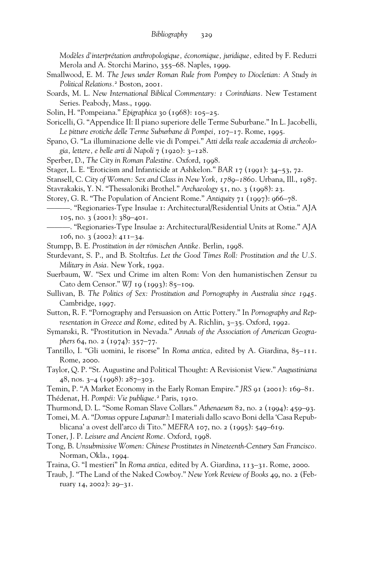*Modèles d'interprétation anthropologique, économique, juridique,* edited by F. Reduzzi Merola and A. Storchi Marino, 355–68. Naples, 1999.

- Smallwood, E. M. *The Jews under Roman Rule from Pompey to Diocletian: A Study in Political Relations.*<sup>2</sup> Boston, 2001.
- Soards, M. L. *New International Biblical Commentary: 1 Corinthians.* New Testament Series. Peabody, Mass., 1999.
- Solin, H. "Pompeiana." *Epigraphica* 30 (1968): 105–25.
- Soricelli, G. "Appendice II: Il piano superiore delle Terme Suburbane." In L. Jacobelli, *Le pitture erotiche delle Terme Suburbane di Pompei,* 107–17. Rome, 1995.
- Spano, G. "La illuminazione delle vie di Pompei." *Atti della reale accademia di archeologia, lettere, e belle arti di Napoli* 7 (1920): 3–128.
- Sperber, D., *The City in Roman Palestine.* Oxford, 1998.
- Stager, L. E. "Eroticism and Infanticide at Ashkelon." *BAR* 17 (1991): 34–53, 72.
- Stansell, C. *City of Women: Sex and Class in New York, 1789–1860.* Urbana, Ill., 1987.
- Stavrakakis, Y. N. "Thessaloniki Brothel." *Archaeology* 51, no. 3 (1998): 23.
- Storey, G. R. "The Population of Ancient Rome." *Antiquity* 71 (1997): 966–78.
	- ———. "Regionaries-Type Insulae 1: Architectural/Residential Units at Ostia." AJA 105, no. 3 (2001): 389–401.
	- ———. "Regionaries-Type Insulae 2: Architectural/Residential Units at Rome." AJA 106, no. 3 (2002): 411–34.
- Stumpp, B. E. *Prostitution in der römischen Antike.* Berlin, 1998.
- Sturdevant, S. P., and B. Stoltzfus. *Let the Good Times Roll: Prostitution and the U.S. Military in Asia.* New York, 1992.
- Suerbaum, W. "Sex und Crime im alten Rom: Von den humanistischen Zensur zu Cato dem Censor." *WJ* 19 (1993): 85–109.
- Sullivan, B. *The Politics of Sex: Prostitution and Pornography in Australia since 1945.* Cambridge, 1997.
- Sutton, R. F. "Pornography and Persuasion on Attic Pottery." In *Pornography and Representation in Greece and Rome,* edited by A. Richlin, 3–35. Oxford, 1992.
- Symanski, R. "Prostitution in Nevada." *Annals of the Association of American Geographers* 64, no. 2 (1974): 357–77.
- Tantillo, I. "Gli uomini, le risorse" In *Roma antica,* edited by A. Giardina, 85–111. Rome, 2000.
- Taylor, Q. P. "St. Augustine and Political Thought: A Revisionist View." *Augustiniana* 48, nos. 3–4 (1998): 287–303.
- Temin, P. "A Market Economy in the Early Roman Empire." *JRS* 91 (2001): 169–81.
- Thédenat, H. *Pompéi: Vie publique.*<sup>2</sup> Paris, 1910.
- Thurmond, D. L. "Some Roman Slave Collars." *Athenaeum* 82, no. 2 (1994): 459–93.
- Tomei, M. A. "*Domus* oppure *Lupanar*?: I materiali dallo scavo Boni della 'Casa Repubblicana' a ovest dell'arco di Tito." *MEFRA* 107, no. 2 (1995): 549–619.
- Toner, J. P. *Leisure and Ancient Rome.* Oxford, 1998.
- Tong, B. *Unsubmissive Women: Chinese Prostitutes in Nineteenth-Century San Francisco.* Norman, Okla., 1994.
- Traina, G. "I mestieri" In *Roma antica,* edited by A. Giardina, 113–31. Rome, 2000.
- Traub, J. "The Land of the Naked Cowboy." *New York Review of Books* 49, no. 2 (February 14, 2002): 29–31.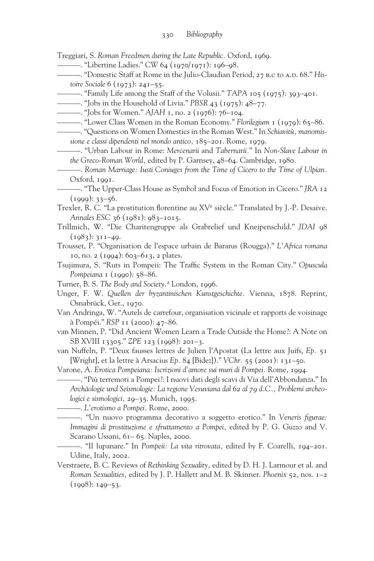Treggiari, S. *Roman Freedmen during the Late Republic.* Oxford, 1969.

———. "Libertine Ladies." *CW* 64 (1970/1971): 196–98.

—. "Domestic Staff at Rome in the Julio-Claudian Period, 27 в.с to A.D. 68." *Histoire Sociale* 6 (1973): 241–55.

- ———. "Family Life among the Staff of the Volusii." *TAPA* 105 (1975): 393–401.
	- ———. "Jobs in the Household of Livia." *PBSR* 43 (1975): 48–77.
- ———. "Jobs for Women." *AJAH* 1, no. 2 (1976): 76–104.
- ———. "Lower Class Women in the Roman Economy." *Florilegium* 1 (1979): 65–86.

———. "Questions on Women Domestics in the Roman West." In *Schiavitù, manomissione e classi dipendenti nel mondo antico,* 185–201. Rome, 1979.

- ———. "Urban Labour in Rome: *Mercenarii* and *Tabernarii.*" In *Non-Slave Labour in the Greco-Roman World,* edited by P. Garnsey, 48–64. Cambridge, 1980.
- ———. *Roman Marriage: Iusti Coniuges from the Time of Cicero to the Time of Ulpian.* Oxford, 1991.

Trexler, R. C. "La prostitution florentine au XV<sup>e</sup> siècle." Translated by J.-P. Desaive. *Annales ESC* 36 (1981): 983–1015.

- Trillmich, W. "Die Charitengruppe als Grabrelief und Kneipenschild." *JDAI* 98  $(1983): 311-49.$
- Trousset, P. "Organisation de l'espace urbain de Bararus (Rougga)." *L'Africa romana* 10, no. 2 (1994): 603–613, 2 plates.
- Tsujimura, S. "Ruts in Pompeii: The Traffic System in the Roman City." Opuscula *Pompeiana* 1 (1990): 58–86.
- Turner, B. S. *The Body and Society.*<sup>2</sup> London, 1996.

Unger, F. W. *Quellen der byzantinischen Kunstgeschichte.* Vienna, 1878. Reprint, Osnabrück, Ger., 1970.

Van Andringa, W. "Autels de carrefour, organisation vicinale et rapports de voisinage à Pompéi." *RSP* 11 (2000): 47–86.

van Minnen, P. "Did Ancient Women Learn a Trade Outside the Home?: A Note on SB XVIII 13305." *ZPE* 123 (1998): 201–3.

van Nuffeln, P. "Deux fausses lettres de Julien l'Apostat (La lettre aux Juifs, *Ep.* 51 [Wright], et la lettre à Arsacius *Ep.* 84 [Bidez])." *VChr.* 55 (2001): 131–50.

Varone, A. *Erotica Pompeiana: Iscrizioni d'amore sui muri di Pompei.* Rome, 1994.

———. "Più terremoti a Pompei?: I nuovi dati degli scavi di Via dell'Abbondanza." In *Archäologie und Seismologie: La regione Vesuviana dal 62 al 79 d.C., Problemi archeologici e sismologici,* 29–35. Munich, 1995.

———. *L'erotismo a Pompei.* Rome, 2000.

———. "Un nuovo programma decorativo a soggetto erotico." In *Veneris figurae: Immagini di prostituzione e sfruttamento a Pompei,* edited by P. G. Guzzo and V. Scarano Ussani, 61-65. Naples, 2000.

———. "Il lupanare." In *Pompeii: La vita ritrovata,* edited by F. Coarelli, 194–201. Udine, Italy, 2002.

Verstraete, B. C. Reviews of *Rethinking Sexuality,* edited by D. H. J. Larmour et al. and *Roman Sexualities,* edited by J. P. Hallett and M. B. Skinner. *Phoenix* 52, nos. 1–2 (1998): 149–53.

<sup>———. &</sup>quot;The Upper-Class House as Symbol and Focus of Emotion in Cicero." *JRA* 12  $(1999): 33 - 56.$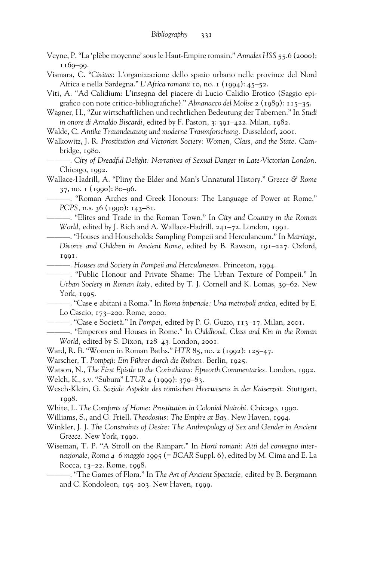- Veyne, P. "La 'plèbe moyenne' sous le Haut-Empire romain." *Annales HSS* 55.6 (2000): 1169–99.
- Vismara, C. "*Civitas:* L'organizzazione dello spazio urbano nelle province del Nord Africa e nella Sardegna." *L'Africa romana* 10, no. 1 (1994): 45–52.
- Viti, A. "Ad Calidium: L'insegna del piacere di Lucio Calidio Erotico (Saggio epigrafico con note critico-bibliografiche)." *Almanacco del Molise* 2 (1989): 115–35.
- Wagner, H., "Zur wirtschaftlichen und rechtlichen Bedeutung der Tabernen." In *Studi in onore di Arnaldo Biscardi,* edited by F. Pastori, 3: 391–422. Milan, 1982.
- Walde, C. *Antike Traumdeutung und moderne Traumforschung.* Dusseldorf, 2001.
- Walkowitz, J. R. *Prostitution and Victorian Society: Women, Class, and the State.* Cambridge, 1980.

———. *City of Dreadful Delight: Narratives of Sexual Danger in Late-Victorian London.* Chicago, 1992.

Wallace-Hadrill, A. "Pliny the Elder and Man's Unnatural History." *Greece & Rome* 37, no. 1 (1990): 80–96.

———. "Roman Arches and Greek Honours: The Language of Power at Rome." *PCPS,* n.s. 36 (1990): 143–81.

———. "Elites and Trade in the Roman Town." In *City and Country in the Roman World,* edited by J. Rich and A. Wallace-Hadrill, 241–72. London, 1991.

———. "Houses and Households: Sampling Pompeii and Herculaneum." In *Marriage, Divorce and Children in Ancient Rome,* edited by B. Rawson, 191–227. Oxford, 1991.

———. *Houses and Society in Pompeii and Herculaneum.* Princeton, 1994.

———. "Public Honour and Private Shame: The Urban Texture of Pompeii." In *Urban Society in Roman Italy,* edited by T. J. Cornell and K. Lomas, 39–62. New York, 1995.

———. "Case e abitani a Roma." In *Roma imperiale: Una metropoli antica,* edited by E. Lo Cascio, 173–200. Rome, 2000.

- ———. "Case e Società." In *Pompei,* edited by P. G. Guzzo, 113–17. Milan, 2001.
- ———. "Emperors and Houses in Rome." In *Childhood, Class and Kin in the Roman World,* edited by S. Dixon, 128–43. London, 2001.
- Ward, R. B. "Women in Roman Baths." *HTR* 85, no. 2 (1992): 125–47.
- Warscher, T. *Pompeji: Ein Führer durch die Ruinen.* Berlin, 1925.
- Watson, N., *The First Epistle to the Corinthians: Epworth Commentaries.* London, 1992. Welch, K., s.v. "Subura" *LTUR* 4 (1999): 379–83.
- 
- Wesch-Klein, G. *Soziale Aspekte des römischen Heerwesens in der Kaiserzeit.* Stuttgart, 1998.
- White, L. *The Comforts of Home: Prostitution in Colonial Nairobi.* Chicago, 1990.
- Williams, S., and G. Friell. *Theodosius: The Empire at Bay.* New Haven, 1994.
- Winkler, J. J. *The Constraints of Desire: The Anthropology of Sex and Gender in Ancient Greece.* New York, 1990.
- Wiseman, T. P. "A Stroll on the Rampart." In *Horti romani: Atti del convegno internazionale, Roma 4–6 maggio 1995* (= *BCAR* Suppl. 6), edited by M. Cima and E. La Rocca, 13–22. Rome, 1998.

———. "The Games of Flora." In *The Art of Ancient Spectacle,* edited by B. Bergmann and C. Kondoleon, 195–203. New Haven, 1999.